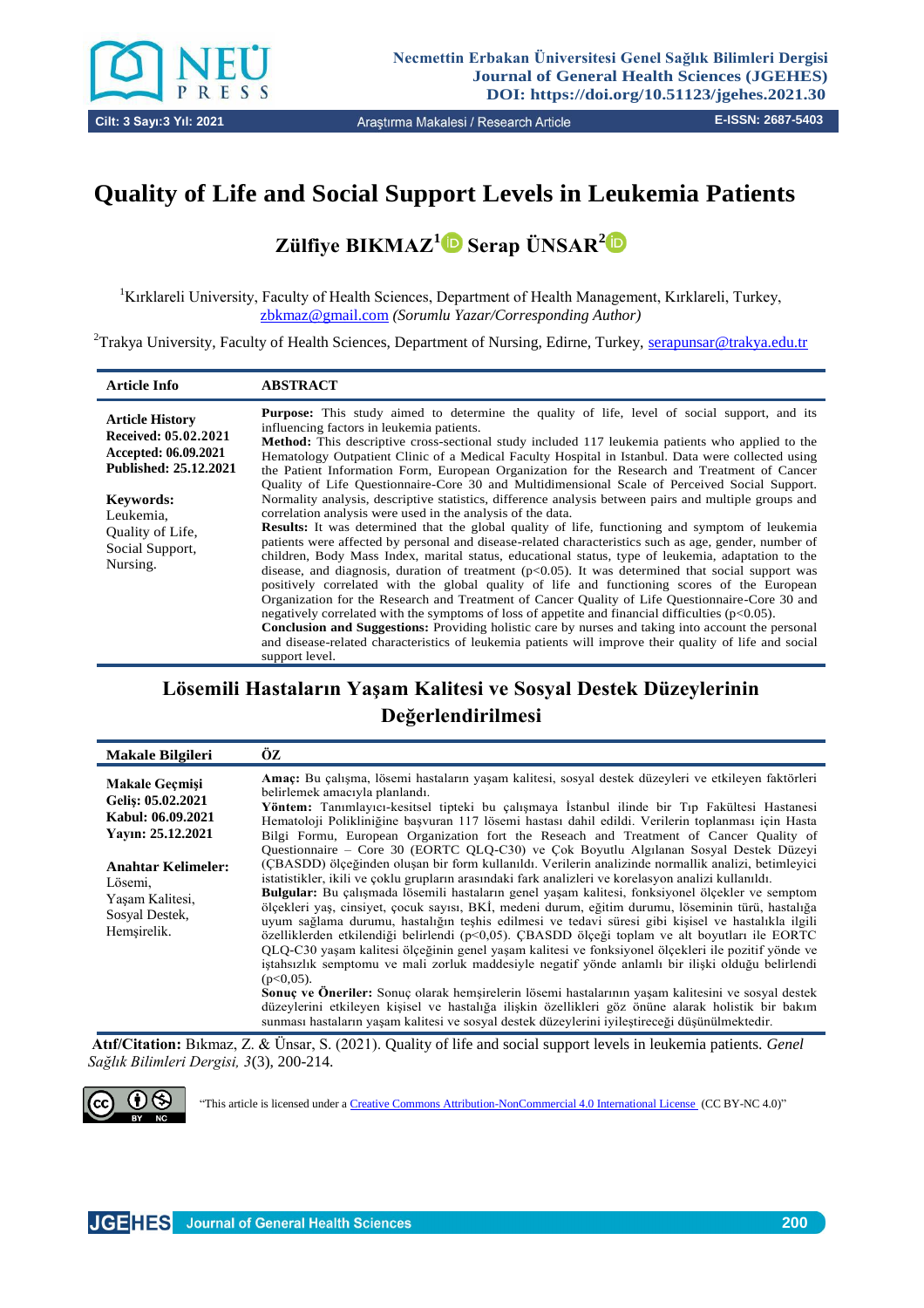

# **Quality of Life and Social Support Levels in Leukemia Patients**

**Zülfiye BIKMAZ<sup>1</sup> Serap ÜNSAR[2](0000-0001-7723-8816)**

<sup>1</sup>Kırklareli University, Faculty of Health Sciences, Department of Health Management, Kırklareli, Turkey, [zbkmaz@gmail.com](mailto:zbkmaz@gmail.com) *(Sorumlu Yazar/Corresponding Author)*

<sup>2</sup>Trakya University, Faculty of Health Sciences, Department of Nursing, Edirne, Turkey, [serapunsar@trakya.edu.tr](mailto:serapunsar@trakya.edu.tr)

| <b>Article Info</b>                                                                                                                                                                 | <b>ABSTRACT</b>                                                                                                                                                                                                                                                                                                                                                                                                                                                                                                                                                                                                                                                                                                                                                                                                                                                                                                                                                                                                                                                                                                                                                                                                                                                                                                                                                                                                                                                                                                                                                                                                                                                                                                               |
|-------------------------------------------------------------------------------------------------------------------------------------------------------------------------------------|-------------------------------------------------------------------------------------------------------------------------------------------------------------------------------------------------------------------------------------------------------------------------------------------------------------------------------------------------------------------------------------------------------------------------------------------------------------------------------------------------------------------------------------------------------------------------------------------------------------------------------------------------------------------------------------------------------------------------------------------------------------------------------------------------------------------------------------------------------------------------------------------------------------------------------------------------------------------------------------------------------------------------------------------------------------------------------------------------------------------------------------------------------------------------------------------------------------------------------------------------------------------------------------------------------------------------------------------------------------------------------------------------------------------------------------------------------------------------------------------------------------------------------------------------------------------------------------------------------------------------------------------------------------------------------------------------------------------------------|
| <b>Article History</b><br>Received: 05.02.2021<br>Accepted: 06.09.2021<br>Published: 25.12.2021<br><b>Keywords:</b><br>Leukemia,<br>Quality of Life,<br>Social Support,<br>Nursing. | <b>Purpose:</b> This study aimed to determine the quality of life, level of social support, and its<br>influencing factors in leukemia patients.<br><b>Method:</b> This descriptive cross-sectional study included 117 leukemia patients who applied to the<br>Hematology Outpatient Clinic of a Medical Faculty Hospital in Istanbul. Data were collected using<br>the Patient Information Form, European Organization for the Research and Treatment of Cancer<br>Quality of Life Questionnaire-Core 30 and Multidimensional Scale of Perceived Social Support.<br>Normality analysis, descriptive statistics, difference analysis between pairs and multiple groups and<br>correlation analysis were used in the analysis of the data.<br><b>Results:</b> It was determined that the global quality of life, functioning and symptom of leukemia<br>patients were affected by personal and disease-related characteristics such as age, gender, number of<br>children, Body Mass Index, marital status, educational status, type of leukemia, adaptation to the<br>disease, and diagnosis, duration of treatment $(p<0.05)$ . It was determined that social support was<br>positively correlated with the global quality of life and functioning scores of the European<br>Organization for the Research and Treatment of Cancer Quality of Life Questionnaire-Core 30 and<br>negatively correlated with the symptoms of loss of appetite and financial difficulties $(p<0.05)$ .<br><b>Conclusion and Suggestions:</b> Providing holistic care by nurses and taking into account the personal<br>and disease-related characteristics of leukemia patients will improve their quality of life and social<br>support level. |
|                                                                                                                                                                                     |                                                                                                                                                                                                                                                                                                                                                                                                                                                                                                                                                                                                                                                                                                                                                                                                                                                                                                                                                                                                                                                                                                                                                                                                                                                                                                                                                                                                                                                                                                                                                                                                                                                                                                                               |

## **Lösemili Hastaların Yaşam Kalitesi ve Sosyal Destek Düzeylerinin Değerlendirilmesi**

| <b>Makale Bilgileri</b>                                                                                                                                                          | ÖZ                                                                                                                                                                                                                                                                                                                                                                                                                                                                                                                                                                                                                                                                                                                                                                                                                                                                                                                                                                                                                                                                                                                                                                                                                                                                                                                                                                                                                                                                                                                                                                                                                                                                                                                    |
|----------------------------------------------------------------------------------------------------------------------------------------------------------------------------------|-----------------------------------------------------------------------------------------------------------------------------------------------------------------------------------------------------------------------------------------------------------------------------------------------------------------------------------------------------------------------------------------------------------------------------------------------------------------------------------------------------------------------------------------------------------------------------------------------------------------------------------------------------------------------------------------------------------------------------------------------------------------------------------------------------------------------------------------------------------------------------------------------------------------------------------------------------------------------------------------------------------------------------------------------------------------------------------------------------------------------------------------------------------------------------------------------------------------------------------------------------------------------------------------------------------------------------------------------------------------------------------------------------------------------------------------------------------------------------------------------------------------------------------------------------------------------------------------------------------------------------------------------------------------------------------------------------------------------|
| <b>Makale Gecmisi</b><br>Geliş: 05.02.2021<br>Kabul: 06.09.2021<br>Yavin: 25.12.2021<br><b>Anahtar Kelimeler:</b><br>Lösemi,<br>Yasam Kalitesi,<br>Sosyal Destek,<br>Hemşirelik. | Amaç: Bu çalışma, lösemi hastaların yaşam kalitesi, sosyal destek düzeyleri ve etkileyen faktörleri<br>belirlemek amacıyla planlandı.<br><b>Yöntem:</b> Tanımlayıcı-kesitsel tipteki bu calısmaya İstanbul ilinde bir Tıp Fakültesi Hastanesi<br>Hematoloji Polikliniğine basvuran 117 lösemi hastası dahil edildi. Verilerin toplanması için Hasta<br>Bilgi Formu, European Organization fort the Reseach and Treatment of Cancer Quality of<br>Questionnaire – Core 30 (EORTC OLO-C30) ve Cok Boyutlu Algılanan Sosyal Destek Düzeyi<br>(CBASDD) ölçeğinden oluşan bir form kullanıldı. Verilerin analizinde normallik analizi, betimleyici<br>istatistikler, ikili ve çoklu grupların arasındaki fark analizleri ve korelasyon analizi kullanıldı.<br>Bulgular: Bu çalışmada lösemili hastaların genel yaşam kalitesi, fonksiyonel ölçekler ve semptom<br>ölcekleri yas, cinsiyet, cocuk sayısı, BKİ, medeni durum, eğitim durumu, löseminin türü, hastalığa<br>uyum sağlama durumu, hastalığın teşhis edilmesi ve tedavi süresi gibi kişisel ve hastalıkla ilgili<br>özelliklerden etkilendiği belirlendi ( $p<0.05$ ). CBASDD ölceği toplam ve alt boyutları ile EORTC<br>QLQ-C30 yaşam kalitesi ölçeğinin genel yaşam kalitesi ve fonksiyonel ölçekleri ile pozitif yönde ve<br>istahsızlık semptomu ve mali zorluk maddesiyle negatif yönde anlamlı bir ilişki olduğu belirlendi<br>$(p<0.05)$ .<br>Sonuç ve Öneriler: Sonuç olarak hemşirelerin lösemi hastalarının yaşam kalitesini ve sosyal destek<br>düzeylerini etkileyen kisisel ve hastalığa ilişkin özellikleri göz önüne alarak holistik bir bakım<br>sunması hastaların yaşam kalitesi ve sosyal destek düzeylerini iyileştireceği düşünülmektedir. |

**Atıf/Citation:** Bıkmaz, Z. & Ünsar, S. (2021). Quality of life and social support levels in leukemia patients. *Genel Sağlık Bilimleri Dergisi, 3*(3), 200-214.



"This article is licensed under [a Creative Commons Attribution-NonCommercial 4.0 International License \(](https://creativecommons.org/licenses/by-nc/4.0/)CC BY-NC 4.0)"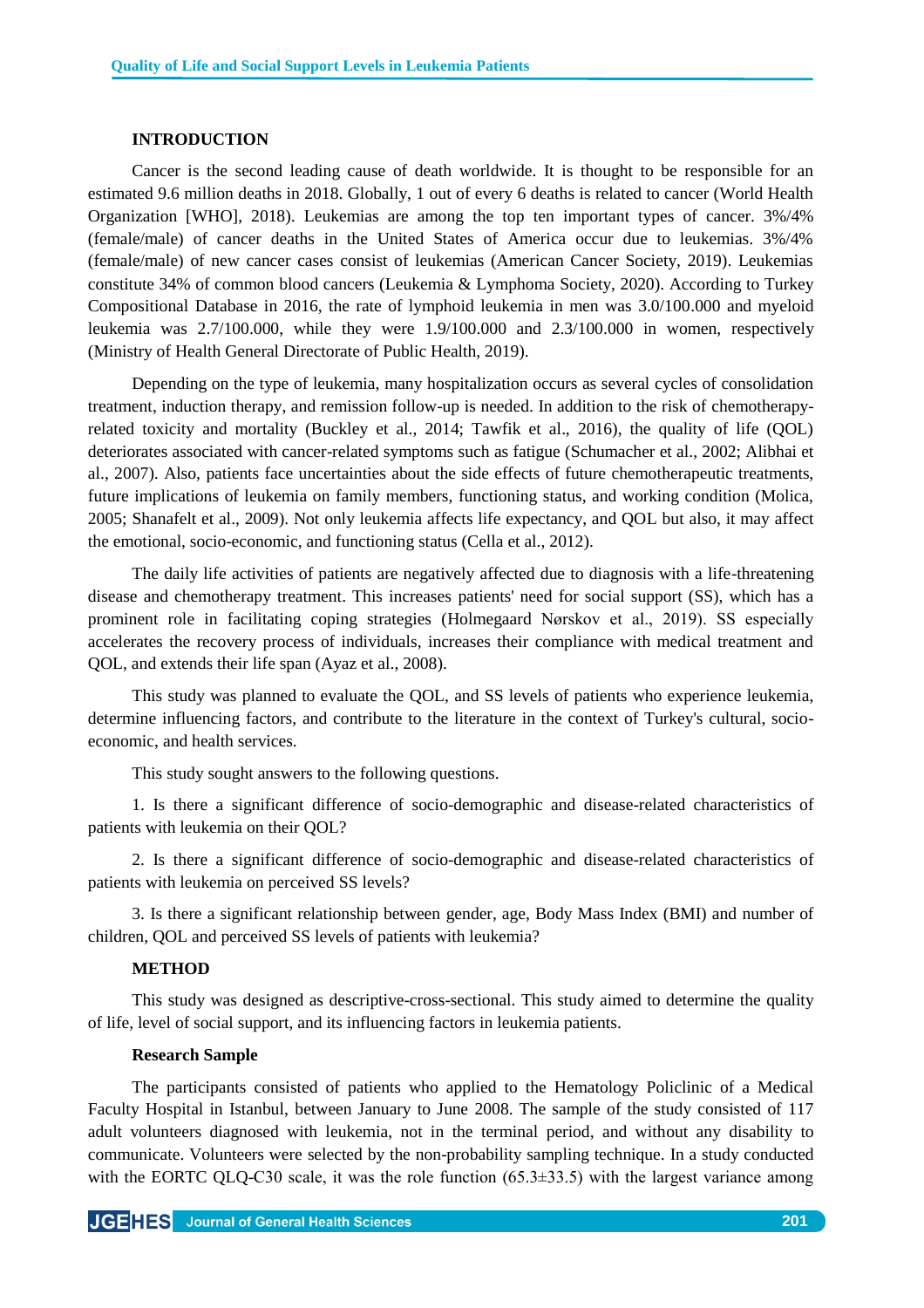## **INTRODUCTION**

Cancer is the second leading cause of death worldwide. It is thought to be responsible for an estimated 9.6 million deaths in 2018. Globally, 1 out of every 6 deaths is related to cancer (World Health Organization [WHO], 2018). Leukemias are among the top ten important types of cancer. 3%/4% (female/male) of cancer deaths in the United States of America occur due to leukemias. 3%/4% (female/male) of new cancer cases consist of leukemias (American Cancer Society, 2019). Leukemias constitute 34% of common blood cancers (Leukemia & Lymphoma Society, 2020). According to Turkey Compositional Database in 2016, the rate of lymphoid leukemia in men was 3.0/100.000 and myeloid leukemia was 2.7/100.000, while they were 1.9/100.000 and 2.3/100.000 in women, respectively (Ministry of Health General Directorate of Public Health, 2019).

Depending on the type of leukemia, many hospitalization occurs as several cycles of consolidation treatment, induction therapy, and remission follow-up is needed. In addition to the risk of chemotherapyrelated toxicity and mortality (Buckley et al., 2014; Tawfik et al., 2016), the quality of life (QOL) deteriorates associated with cancer-related symptoms such as fatigue (Schumacher et al., 2002; Alibhai et al., 2007). Also, patients face uncertainties about the side effects of future chemotherapeutic treatments, future implications of leukemia on family members, functioning status, and working condition (Molica, 2005; Shanafelt et al., 2009). Not only leukemia affects life expectancy, and QOL but also, it may affect the emotional, socio-economic, and functioning status (Cella et al., 2012).

The daily life activities of patients are negatively affected due to diagnosis with a life-threatening disease and chemotherapy treatment. This increases patients' need for social support (SS), which has a prominent role in facilitating coping strategies (Holmegaard Nørskov et al., 2019). SS especially accelerates the recovery process of individuals, increases their compliance with medical treatment and QOL, and extends their life span (Ayaz et al., 2008).

This study was planned to evaluate the QOL, and SS levels of patients who experience leukemia, determine influencing factors, and contribute to the literature in the context of Turkey's cultural, socioeconomic, and health services.

This study sought answers to the following questions.

1. Is there a significant difference of socio-demographic and disease-related characteristics of patients with leukemia on their QOL?

2. Is there a significant difference of socio-demographic and disease-related characteristics of patients with leukemia on perceived SS levels?

3. Is there a significant relationship between gender, age, Body Mass Index (BMI) and number of children, QOL and perceived SS levels of patients with leukemia?

## **METHOD**

This study was designed as descriptive-cross-sectional. This study aimed to determine the quality of life, level of social support, and its influencing factors in leukemia patients.

#### **Research Sample**

The participants consisted of patients who applied to the Hematology Policlinic of a Medical Faculty Hospital in Istanbul, between January to June 2008. The sample of the study consisted of 117 adult volunteers diagnosed with leukemia, not in the terminal period, and without any disability to communicate. Volunteers were selected by the non-probability sampling technique. In a study conducted with the EORTC QLQ-C30 scale, it was the role function  $(65.3\pm33.5)$  with the largest variance among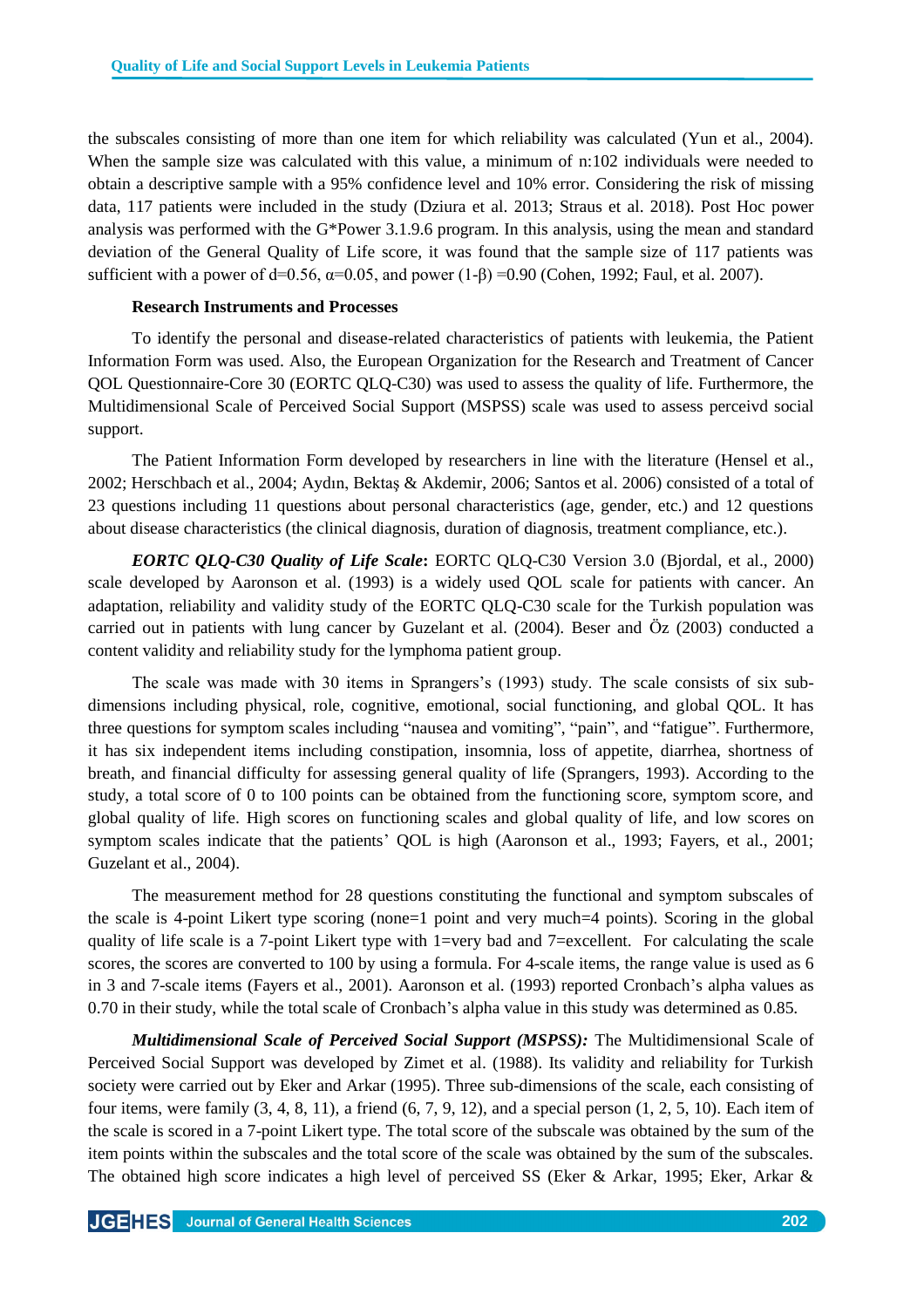the subscales consisting of more than one item for which reliability was calculated (Yun et al., 2004). When the sample size was calculated with this value, a minimum of n:102 individuals were needed to obtain a descriptive sample with a 95% confidence level and 10% error. Considering the risk of missing data, 117 patients were included in the study (Dziura et al. 2013; Straus et al. 2018). Post Hoc power analysis was performed with the G\*Power 3.1.9.6 program. In this analysis, using the mean and standard deviation of the General Quality of Life score, it was found that the sample size of 117 patients was sufficient with a power of d=0.56,  $\alpha$ =0.05, and power (1- $\beta$ ) =0.90 (Cohen, 1992; Faul, et al. 2007).

## **Research Instruments and Processes**

To identify the personal and disease-related characteristics of patients with leukemia, the Patient Information Form was used. Also, the European Organization for the Research and Treatment of Cancer QOL Questionnaire-Core 30 (EORTC QLQ-C30) was used to assess the quality of life. Furthermore, the Multidimensional Scale of Perceived Social Support (MSPSS) scale was used to assess perceivd social support.

The Patient Information Form developed by researchers in line with the literature (Hensel et al., 2002; Herschbach et al., 2004; Aydın, Bektaş & Akdemir, 2006; Santos et al. 2006) consisted of a total of 23 questions including 11 questions about personal characteristics (age, gender, etc.) and 12 questions about disease characteristics (the clinical diagnosis, duration of diagnosis, treatment compliance, etc.).

*EORTC QLQ-C30 Quality of Life Scale***:** EORTC QLQ-C30 Version 3.0 (Bjordal, et al., 2000) scale developed by Aaronson et al. (1993) is a widely used QOL scale for patients with cancer. An adaptation, reliability and validity study of the EORTC QLQ-C30 scale for the Turkish population was carried out in patients with lung cancer by Guzelant et al. (2004). Beser and Öz (2003) conducted a content validity and reliability study for the lymphoma patient group.

The scale was made with 30 items in Sprangers's (1993) study. The scale consists of six subdimensions including physical, role, cognitive, emotional, social functioning, and global QOL. It has three questions for symptom scales including "nausea and vomiting", "pain", and "fatigue". Furthermore, it has six independent items including constipation, insomnia, loss of appetite, diarrhea, shortness of breath, and financial difficulty for assessing general quality of life (Sprangers, 1993). According to the study, a total score of 0 to 100 points can be obtained from the functioning score, symptom score, and global quality of life. High scores on functioning scales and global quality of life, and low scores on symptom scales indicate that the patients' QOL is high (Aaronson et al., 1993; Fayers, et al., 2001; Guzelant et al., 2004).

The measurement method for 28 questions constituting the functional and symptom subscales of the scale is 4-point Likert type scoring (none=1 point and very much=4 points). Scoring in the global quality of life scale is a 7-point Likert type with 1=very bad and 7=excellent. For calculating the scale scores, the scores are converted to 100 by using a formula. For 4-scale items, the range value is used as 6 in 3 and 7-scale items (Fayers et al., 2001). Aaronson et al. (1993) reported Cronbach's alpha values as 0.70 in their study, while the total scale of Cronbach's alpha value in this study was determined as 0.85.

*Multidimensional Scale of Perceived Social Support (MSPSS):* The Multidimensional Scale of Perceived Social Support was developed by Zimet et al. (1988). Its validity and reliability for Turkish society were carried out by Eker and Arkar (1995). Three sub-dimensions of the scale, each consisting of four items, were family  $(3, 4, 8, 11)$ , a friend  $(6, 7, 9, 12)$ , and a special person  $(1, 2, 5, 10)$ . Each item of the scale is scored in a 7-point Likert type. The total score of the subscale was obtained by the sum of the item points within the subscales and the total score of the scale was obtained by the sum of the subscales. The obtained high score indicates a high level of perceived SS (Eker & Arkar, 1995; Eker, Arkar &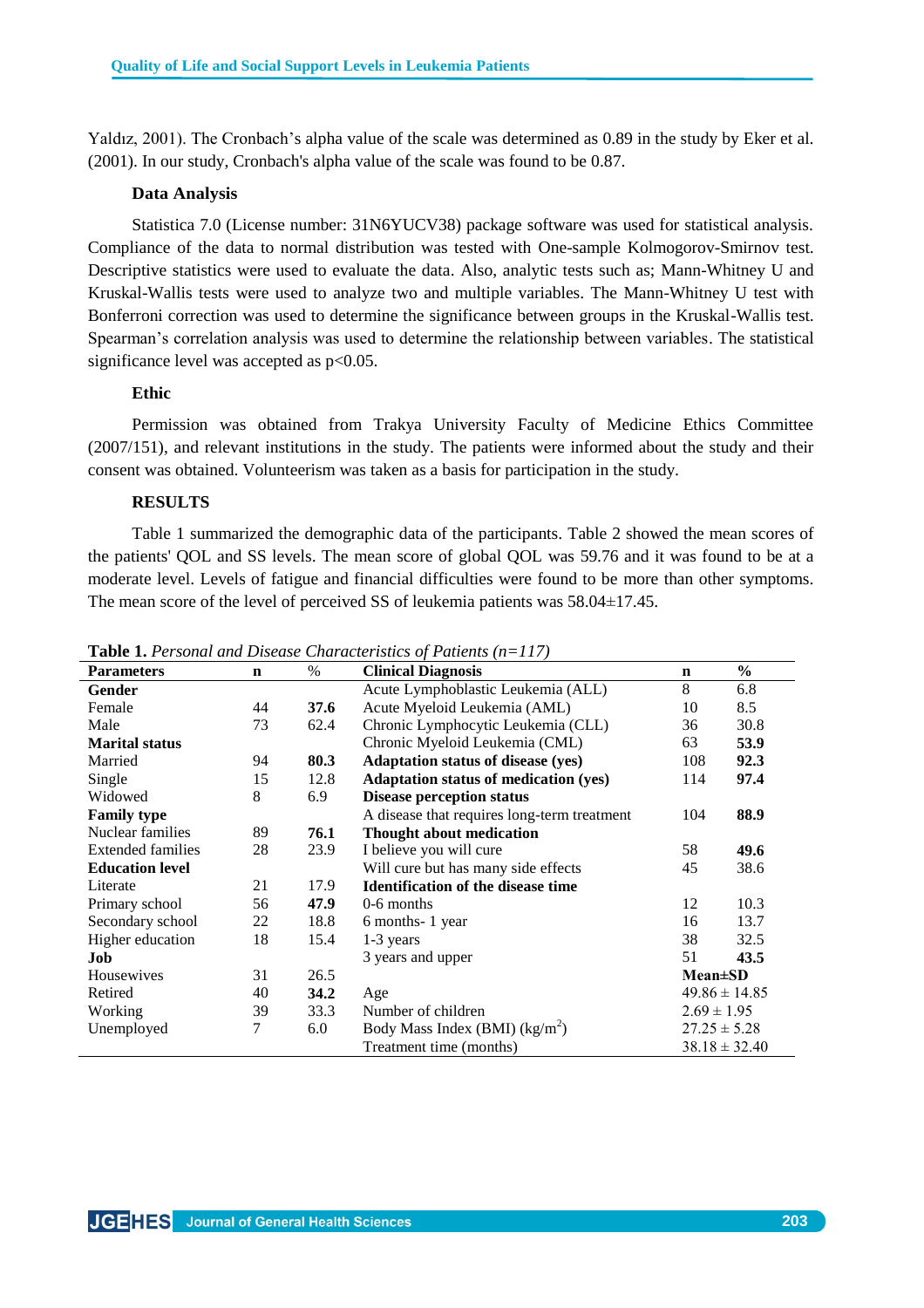Yaldız, 2001). The Cronbach's alpha value of the scale was determined as 0.89 in the study by Eker et al. (2001). In our study, Cronbach's alpha value of the scale was found to be 0.87.

## **Data Analysis**

Statistica 7.0 (License number: 31N6YUCV38) package software was used for statistical analysis. Compliance of the data to normal distribution was tested with One-sample Kolmogorov-Smirnov test. Descriptive statistics were used to evaluate the data. Also, analytic tests such as; Mann-Whitney U and Kruskal-Wallis tests were used to analyze two and multiple variables. The Mann-Whitney U test with Bonferroni correction was used to determine the significance between groups in the Kruskal-Wallis test. Spearman's correlation analysis was used to determine the relationship between variables. The statistical significance level was accepted as  $p<0.05$ .

## **Ethic**

Permission was obtained from Trakya University Faculty of Medicine Ethics Committee (2007/151), and relevant institutions in the study. The patients were informed about the study and their consent was obtained. Volunteerism was taken as a basis for participation in the study.

## **RESULTS**

Table 1 summarized the demographic data of the participants. Table 2 showed the mean scores of the patients' QOL and SS levels. The mean score of global QOL was 59.76 and it was found to be at a moderate level. Levels of fatigue and financial difficulties were found to be more than other symptoms. The mean score of the level of perceived SS of leukemia patients was  $58.04 \pm 17.45$ .

| <b>Parameters</b>        | $\mathbf n$             | $\%$              | <b>Clinical Diagnosis</b>                           |                   | $\frac{0}{0}$     |  |
|--------------------------|-------------------------|-------------------|-----------------------------------------------------|-------------------|-------------------|--|
| Gender                   |                         |                   | Acute Lymphoblastic Leukemia (ALL)                  | 8                 | 6.8               |  |
| Female                   | 44                      | 37.6              | Acute Myeloid Leukemia (AML)                        | 10                | 8.5               |  |
| Male                     | 73                      | 62.4              | Chronic Lymphocytic Leukemia (CLL)                  | 36                | 30.8              |  |
| <b>Marital status</b>    |                         |                   | Chronic Myeloid Leukemia (CML)                      |                   | 53.9              |  |
| Married                  | 94                      | 80.3              | <b>Adaptation status of disease (yes)</b>           | 108               | 92.3              |  |
| Single                   | 15                      | 12.8              | <b>Adaptation status of medication (yes)</b>        | 114               | 97.4              |  |
| Widowed                  | 8                       | 6.9               | <b>Disease perception status</b>                    |                   |                   |  |
| <b>Family type</b>       |                         |                   | A disease that requires long-term treatment         | 104               | 88.9              |  |
| Nuclear families         | 89                      | 76.1              | Thought about medication                            |                   |                   |  |
| <b>Extended families</b> | 28                      | 23.9              | I believe you will cure                             | 58                | 49.6              |  |
| <b>Education level</b>   |                         |                   | Will cure but has many side effects                 | 45                | 38.6              |  |
| Literate                 | 21                      | 17.9              | <b>Identification of the disease time</b>           |                   |                   |  |
| Primary school           | 56                      | 47.9              | $0-6$ months                                        | 12                | 10.3              |  |
| Secondary school         | 22                      | 18.8              | 6 months-1 year                                     | 16                | 13.7              |  |
| Higher education         | 18                      | 15.4              | $1-3$ years                                         | 38                | 32.5              |  |
| Job                      |                         | 3 years and upper |                                                     | 51                | 43.5              |  |
| Housewives               | 31                      | 26.5              |                                                     |                   | $Mean \pm SD$     |  |
| Retired                  | 40                      | 34.2              | Age                                                 |                   | $49.86 \pm 14.85$ |  |
| Working                  | 39                      | 33.3              | Number of children                                  | $2.69 \pm 1.95$   |                   |  |
| Unemployed               | 7                       | 6.0               | Body Mass Index (BMI) $(kg/m2)$<br>$27.25 \pm 5.28$ |                   |                   |  |
|                          | Treatment time (months) |                   |                                                     | $38.18 \pm 32.40$ |                   |  |

**Table 1.** *Personal and Disease Characteristics of Patients (n=117)*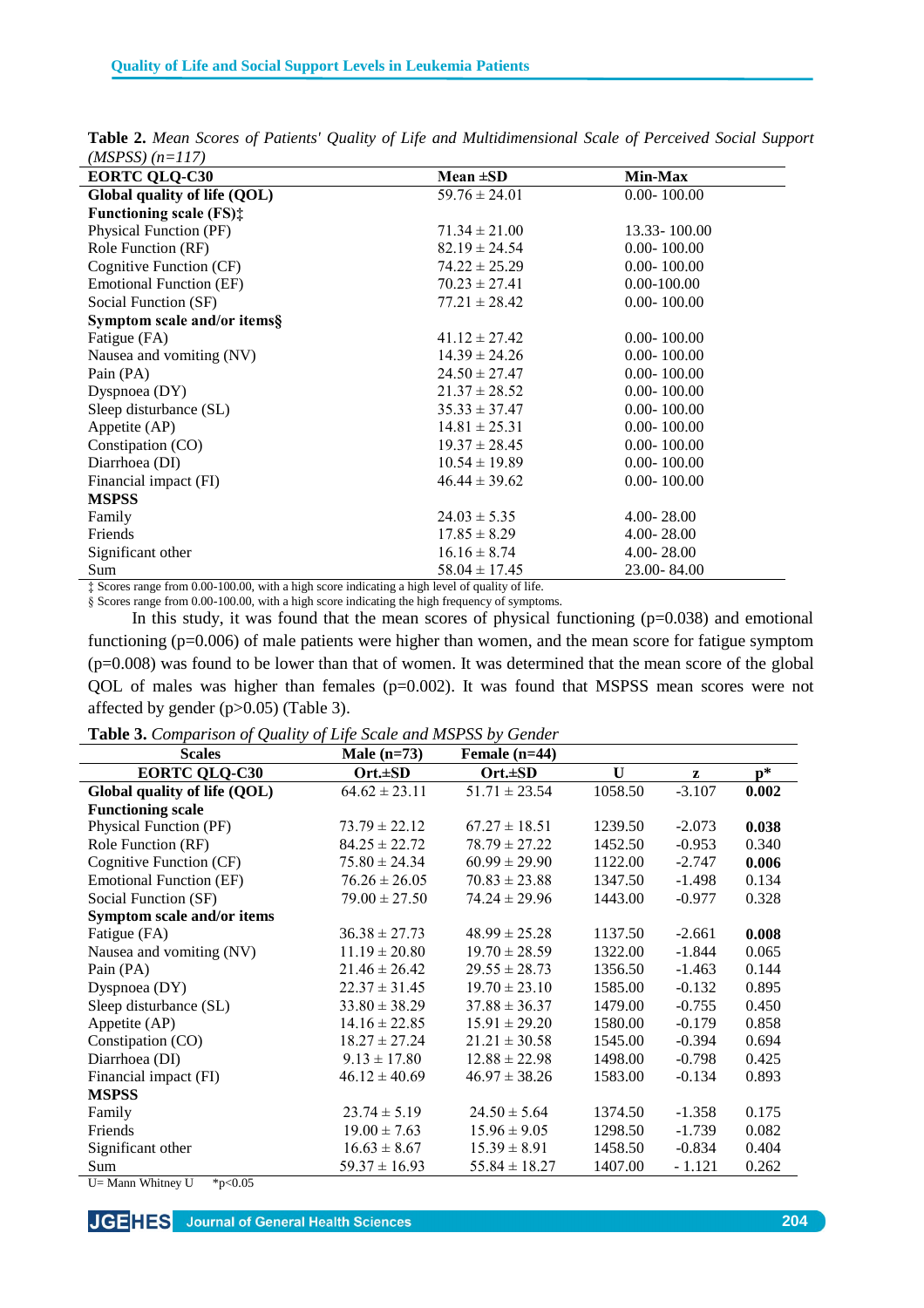| $11.01$ $00/11-11/1$           |                   |                 |
|--------------------------------|-------------------|-----------------|
| <b>EORTC QLQ-C30</b>           | Mean $\pm SD$     | Min-Max         |
| Global quality of life (QOL)   | $59.76 \pm 24.01$ | $0.00 - 100.00$ |
| <b>Functioning scale (FS):</b> |                   |                 |
| Physical Function (PF)         | $71.34 \pm 21.00$ | 13.33 - 100.00  |
| Role Function (RF)             | $82.19 \pm 24.54$ | $0.00 - 100.00$ |
| Cognitive Function (CF)        | $74.22 \pm 25.29$ | $0.00 - 100.00$ |
| <b>Emotional Function (EF)</b> | $70.23 \pm 27.41$ | $0.00 - 100.00$ |
| Social Function (SF)           | $77.21 \pm 28.42$ | $0.00 - 100.00$ |
| Symptom scale and/or items§    |                   |                 |
| Fatigue (FA)                   | $41.12 \pm 27.42$ | $0.00 - 100.00$ |
| Nausea and vomiting (NV)       | $14.39 \pm 24.26$ | $0.00 - 100.00$ |
| Pain (PA)                      | $24.50 \pm 27.47$ | $0.00 - 100.00$ |
| Dyspnoea (DY)                  | $21.37 \pm 28.52$ | $0.00 - 100.00$ |
| Sleep disturbance (SL)         | $35.33 \pm 37.47$ | $0.00 - 100.00$ |
| Appetite (AP)                  | $14.81 \pm 25.31$ | $0.00 - 100.00$ |
| Constipation (CO)              | $19.37 \pm 28.45$ | $0.00 - 100.00$ |
| Diarrhoea (DI)                 | $10.54 \pm 19.89$ | $0.00 - 100.00$ |
| Financial impact (FI)          | $46.44 \pm 39.62$ | $0.00 - 100.00$ |
| <b>MSPSS</b>                   |                   |                 |
| Family                         | $24.03 \pm 5.35$  | $4.00 - 28.00$  |
| Friends                        | $17.85 \pm 8.29$  | $4.00 - 28.00$  |
| Significant other              | $16.16 \pm 8.74$  | $4.00 - 28.00$  |
| Sum                            | $58.04 \pm 17.45$ | 23.00-84.00     |

**Table 2.** *Mean Scores of Patients' Quality of Life and Multidimensional Scale of Perceived Social Support (MSPSS) (n=117)*

‡ Scores range from 0.00-100.00, with a high score indicating a high level of quality of life. § Scores range from 0.00-100.00, with a high score indicating the high frequency of symptoms.

In this study, it was found that the mean scores of physical functioning  $(p=0.038)$  and emotional

functioning (p=0.006) of male patients were higher than women, and the mean score for fatigue symptom  $(p=0.008)$  was found to be lower than that of women. It was determined that the mean score of the global QOL of males was higher than females (p=0.002). It was found that MSPSS mean scores were not affected by gender (p>0.05) (Table 3).

**Table 3.** *Comparison of Quality of Life Scale and MSPSS by Gender*

| r <i>. .</i><br><b>Scales</b>   | Male $(n=73)$     | Female $(n=44)$   |         |          |                |  |
|---------------------------------|-------------------|-------------------|---------|----------|----------------|--|
| <b>EORTC QLQ-C30</b>            | Ort.±SD           | $Ort.\pm SD$      | U       | z        | $\mathbf{p}^*$ |  |
| Global quality of life (QOL)    | $64.62 \pm 23.11$ | $51.71 \pm 23.54$ | 1058.50 | $-3.107$ | 0.002          |  |
| <b>Functioning scale</b>        |                   |                   |         |          |                |  |
| Physical Function (PF)          | $73.79 \pm 22.12$ | $67.27 \pm 18.51$ | 1239.50 | $-2.073$ | 0.038          |  |
| Role Function (RF)              | $84.25 \pm 22.72$ | $78.79 \pm 27.22$ | 1452.50 | $-0.953$ | 0.340          |  |
| Cognitive Function (CF)         | $75.80 \pm 24.34$ | $60.99 \pm 29.90$ | 1122.00 | $-2.747$ | 0.006          |  |
| <b>Emotional Function (EF)</b>  | $76.26 \pm 26.05$ | $70.83 \pm 23.88$ | 1347.50 | $-1.498$ | 0.134          |  |
| Social Function (SF)            | $79.00 \pm 27.50$ | $74.24 \pm 29.96$ | 1443.00 | $-0.977$ | 0.328          |  |
| Symptom scale and/or items      |                   |                   |         |          |                |  |
| Fatigue (FA)                    | $36.38 \pm 27.73$ | $48.99 \pm 25.28$ | 1137.50 | $-2.661$ | 0.008          |  |
| Nausea and vomiting (NV)        | $11.19 \pm 20.80$ | $19.70 \pm 28.59$ | 1322.00 | $-1.844$ | 0.065          |  |
| Pain (PA)                       | $21.46 \pm 26.42$ | $29.55 \pm 28.73$ | 1356.50 | $-1.463$ | 0.144          |  |
| Dyspnoea $(DY)$                 | $22.37 \pm 31.45$ | $19.70 \pm 23.10$ | 1585.00 | $-0.132$ | 0.895          |  |
| Sleep disturbance (SL)          | $33.80 \pm 38.29$ | $37.88 \pm 36.37$ | 1479.00 | $-0.755$ | 0.450          |  |
| Appetite (AP)                   | $14.16 \pm 22.85$ | $15.91 \pm 29.20$ | 1580.00 | $-0.179$ | 0.858          |  |
| Constipation (CO)               | $18.27 \pm 27.24$ | $21.21 \pm 30.58$ | 1545.00 | $-0.394$ | 0.694          |  |
| Diarrhoea (DI)                  | $9.13 \pm 17.80$  | $12.88 \pm 22.98$ | 1498.00 | $-0.798$ | 0.425          |  |
| Financial impact (FI)           | $46.12 \pm 40.69$ | $46.97 \pm 38.26$ | 1583.00 | $-0.134$ | 0.893          |  |
| <b>MSPSS</b>                    |                   |                   |         |          |                |  |
| Family                          | $23.74 \pm 5.19$  | $24.50 \pm 5.64$  | 1374.50 | $-1.358$ | 0.175          |  |
| Friends                         | $19.00 \pm 7.63$  | $15.96 \pm 9.05$  | 1298.50 | $-1.739$ | 0.082          |  |
| Significant other               | $16.63 \pm 8.67$  | $15.39 \pm 8.91$  | 1458.50 | $-0.834$ | 0.404          |  |
| Sum                             | $59.37 \pm 16.93$ | $55.84 \pm 18.27$ | 1407.00 | $-1.121$ | 0.262          |  |
| U= Mann Whitney U<br>* $p<0.05$ |                   |                   |         |          |                |  |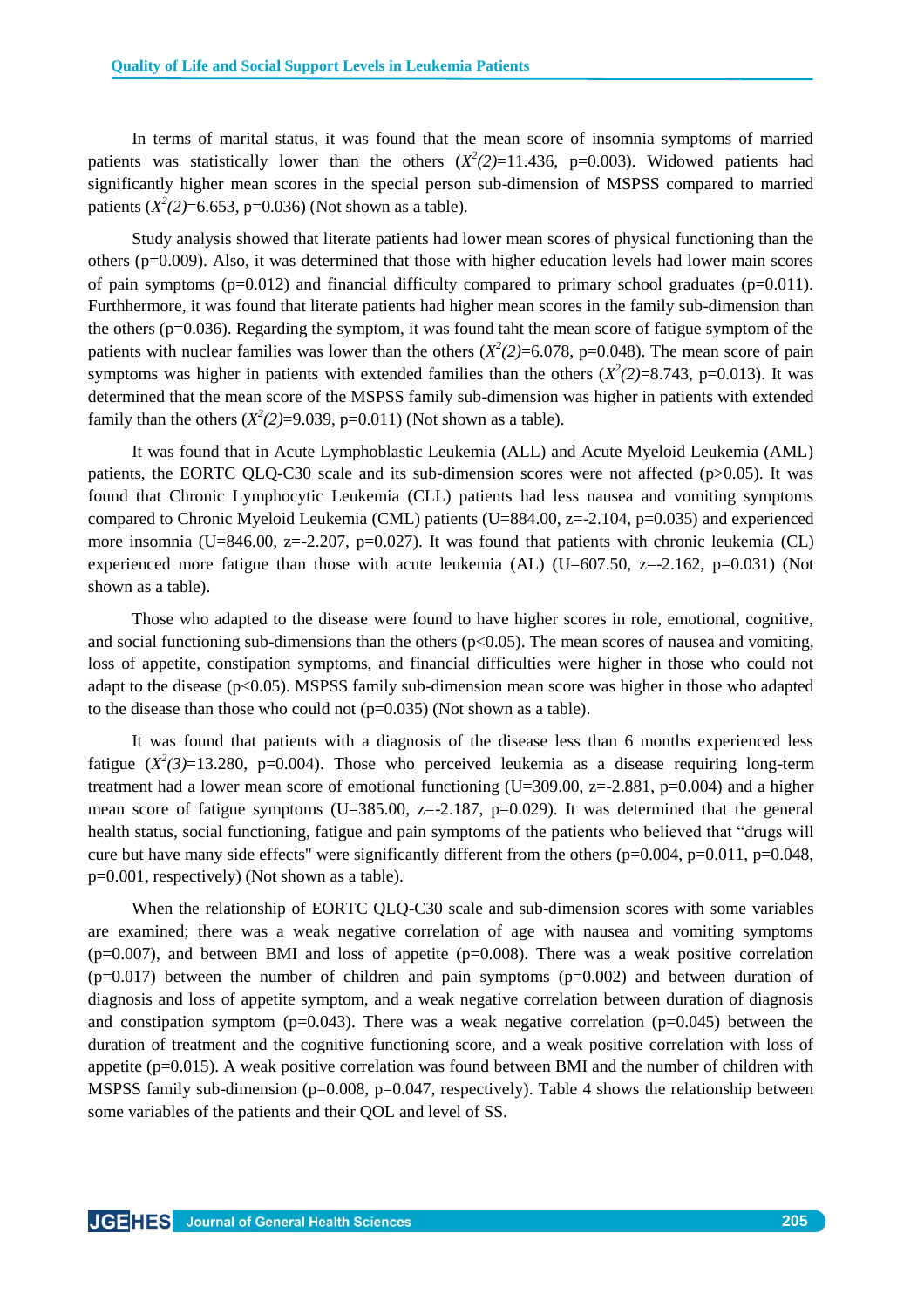In terms of marital status, it was found that the mean score of insomnia symptoms of married patients was statistically lower than the others  $(X^2(2)=11.436, p=0.003)$ . Widowed patients had significantly higher mean scores in the special person sub-dimension of MSPSS compared to married patients  $(X^2(2)=6.653, p=0.036)$  (Not shown as a table).

Study analysis showed that literate patients had lower mean scores of physical functioning than the others (p=0.009). Also, it was determined that those with higher education levels had lower main scores of pain symptoms ( $p=0.012$ ) and financial difficulty compared to primary school graduates ( $p=0.011$ ). Furthhermore, it was found that literate patients had higher mean scores in the family sub-dimension than the others (p=0.036). Regarding the symptom, it was found taht the mean score of fatigue symptom of the patients with nuclear families was lower than the others  $(X^2(2)=6.078, p=0.048)$ . The mean score of pain symptoms was higher in patients with extended families than the others  $(X^2(2)=8.743, p=0.013)$ . It was determined that the mean score of the MSPSS family sub-dimension was higher in patients with extended family than the others  $(X^2(2)=9.039, p=0.011)$  (Not shown as a table).

It was found that in Acute Lymphoblastic Leukemia (ALL) and Acute Myeloid Leukemia (AML) patients, the EORTC QLQ-C30 scale and its sub-dimension scores were not affected  $(p>0.05)$ . It was found that Chronic Lymphocytic Leukemia (CLL) patients had less nausea and vomiting symptoms compared to Chronic Myeloid Leukemia (CML) patients (U=884.00, z=-2.104, p=0.035) and experienced more insomnia (U=846.00, z=-2.207, p=0.027). It was found that patients with chronic leukemia (CL) experienced more fatigue than those with acute leukemia (AL) (U=607.50,  $z=-2.162$ , p=0.031) (Not shown as a table).

Those who adapted to the disease were found to have higher scores in role, emotional, cognitive, and social functioning sub-dimensions than the others  $(p<0.05)$ . The mean scores of nausea and vomiting, loss of appetite, constipation symptoms, and financial difficulties were higher in those who could not adapt to the disease  $(p<0.05)$ . MSPSS family sub-dimension mean score was higher in those who adapted to the disease than those who could not  $(p=0.035)$  (Not shown as a table).

It was found that patients with a diagnosis of the disease less than 6 months experienced less fatigue  $(X^2(3)=13.280, p=0.004)$ . Those who perceived leukemia as a disease requiring long-term treatment had a lower mean score of emotional functioning  $(U=309.00, z=-2.881, p=0.004)$  and a higher mean score of fatigue symptoms (U=385.00, z=-2.187, p=0.029). It was determined that the general health status, social functioning, fatigue and pain symptoms of the patients who believed that "drugs will cure but have many side effects" were significantly different from the others ( $p=0.004$ ,  $p=0.011$ ,  $p=0.048$ , p=0.001, respectively) (Not shown as a table).

When the relationship of EORTC QLQ-C30 scale and sub-dimension scores with some variables are examined; there was a weak negative correlation of age with nausea and vomiting symptoms  $(p=0.007)$ , and between BMI and loss of appetite  $(p=0.008)$ . There was a weak positive correlation  $(p=0.017)$  between the number of children and pain symptoms  $(p=0.002)$  and between duration of diagnosis and loss of appetite symptom, and a weak negative correlation between duration of diagnosis and constipation symptom ( $p=0.043$ ). There was a weak negative correlation ( $p=0.045$ ) between the duration of treatment and the cognitive functioning score, and a weak positive correlation with loss of appetite  $(p=0.015)$ . A weak positive correlation was found between BMI and the number of children with MSPSS family sub-dimension (p=0.008, p=0.047, respectively). Table 4 shows the relationship between some variables of the patients and their QOL and level of SS.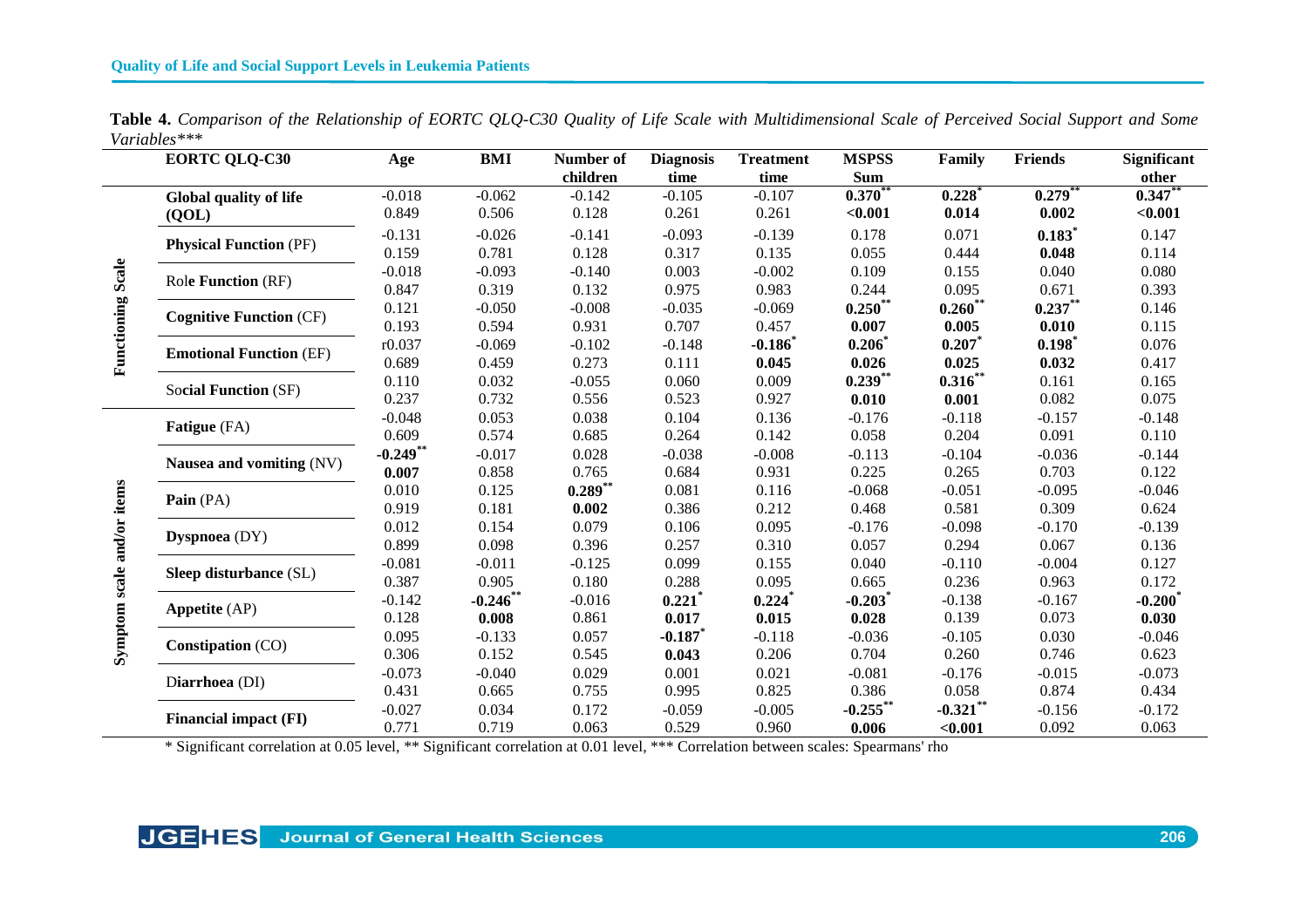$\sim$ 

| Table 4. Comparison of the Relationship of EORTC QLQ-C30 Quality of Life Scale with Multidimensional Scale of Perceived Social Support and Some |  |  |
|-------------------------------------------------------------------------------------------------------------------------------------------------|--|--|
| Variables***                                                                                                                                    |  |  |

|                            | <b>EORTC QLQ-C30</b>           | Age         | <b>BMI</b>  | Number of | <b>Diagnosis</b> | <b>Treatment</b> | <b>MSPSS</b>  | Family      | <b>Friends</b>       | <b>Significant</b> |
|----------------------------|--------------------------------|-------------|-------------|-----------|------------------|------------------|---------------|-------------|----------------------|--------------------|
|                            |                                |             |             | children  | time             | time             | <b>Sum</b>    |             |                      | other              |
|                            | Global quality of life         | $-0.018$    | $-0.062$    | $-0.142$  | $-0.105$         | $-0.107$         | $0.370**$     | 0.228       | $0.279***$           | $0.347**$          |
|                            | (QOL)                          | 0.849       | 0.506       | 0.128     | 0.261            | 0.261            | < 0.001       | 0.014       | 0.002                | < 0.001            |
|                            | <b>Physical Function (PF)</b>  | $-0.131$    | $-0.026$    | $-0.141$  | $-0.093$         | $-0.139$         | 0.178         | 0.071       | $0.183$ <sup>*</sup> | 0.147              |
|                            |                                | 0.159       | 0.781       | 0.128     | 0.317            | 0.135            | 0.055         | 0.444       | 0.048                | 0.114              |
|                            | Role Function (RF)             | $-0.018$    | $-0.093$    | $-0.140$  | 0.003            | $-0.002$         | 0.109         | 0.155       | 0.040                | 0.080              |
|                            |                                | 0.847       | 0.319       | 0.132     | 0.975            | 0.983            | 0.244         | 0.095       | 0.671                | 0.393              |
| <b>Functioning Scale</b>   | <b>Cognitive Function (CF)</b> | 0.121       | $-0.050$    | $-0.008$  | $-0.035$         | $-0.069$         | $0.250**$     | $0.260**$   | $0.237***$           | 0.146              |
|                            |                                | 0.193       | 0.594       | 0.931     | 0.707            | 0.457            | 0.007         | 0.005       | 0.010                | 0.115              |
|                            | <b>Emotional Function (EF)</b> | r0.037      | $-0.069$    | $-0.102$  | $-0.148$         | $-0.186$         | $0.206*$      | $0.207*$    | 0.198                | 0.076              |
|                            |                                | 0.689       | 0.459       | 0.273     | 0.111            | 0.045            | 0.026         | 0.025       | 0.032                | 0.417              |
|                            | <b>Social Function (SF)</b>    | 0.110       | 0.032       | $-0.055$  | 0.060            | 0.009            | $0.239$ **    | $0.316***$  | 0.161                | 0.165              |
|                            |                                | 0.237       | 0.732       | 0.556     | 0.523            | 0.927            | 0.010         | 0.001       | 0.082                | 0.075              |
|                            | Fatigue (FA)                   | $-0.048$    | 0.053       | 0.038     | 0.104            | 0.136            | $-0.176$      | $-0.118$    | $-0.157$             | $-0.148$           |
|                            |                                | 0.609       | 0.574       | 0.685     | 0.264            | 0.142            | 0.058         | 0.204       | 0.091                | 0.110              |
|                            | Nausea and vomiting (NV)       | $-0.249$ ** | $-0.017$    | 0.028     | $-0.038$         | $-0.008$         | $-0.113$      | $-0.104$    | $-0.036$             | $-0.144$           |
|                            |                                | 0.007       | 0.858       | 0.765     | 0.684            | 0.931            | 0.225         | 0.265       | 0.703                | 0.122              |
| Symptom scale and/or items | Pain (PA)                      | 0.010       | 0.125       | $0.289**$ | 0.081            | 0.116            | $-0.068$      | $-0.051$    | $-0.095$             | $-0.046$           |
|                            |                                | 0.919       | 0.181       | 0.002     | 0.386            | 0.212            | 0.468         | 0.581       | 0.309                | 0.624              |
|                            | Dyspnoea (DY)                  | 0.012       | 0.154       | 0.079     | 0.106            | 0.095            | $-0.176$      | $-0.098$    | $-0.170$             | $-0.139$           |
|                            |                                | 0.899       | 0.098       | 0.396     | 0.257            | 0.310            | 0.057         | 0.294       | 0.067                | 0.136              |
|                            | Sleep disturbance (SL)         | $-0.081$    | $-0.011$    | $-0.125$  | 0.099            | 0.155            | 0.040         | $-0.110$    | $-0.004$             | 0.127              |
|                            |                                | 0.387       | 0.905       | 0.180     | 0.288            | 0.095            | 0.665         | 0.236       | 0.963                | 0.172              |
|                            | Appetite (AP)                  | $-0.142$    | $-0.246$ ** | $-0.016$  | 0.221            | 0.224            | $-0.203$ $^*$ | $-0.138$    | $-0.167$             | $-0.200*$          |
|                            |                                | 0.128       | 0.008       | 0.861     | 0.017            | 0.015            | 0.028         | 0.139       | 0.073                | 0.030              |
|                            | Constipation (CO)              | 0.095       | $-0.133$    | 0.057     | $-0.187$         | $-0.118$         | $-0.036$      | $-0.105$    | 0.030                | $-0.046$           |
|                            |                                | 0.306       | 0.152       | 0.545     | 0.043            | 0.206            | 0.704         | 0.260       | 0.746                | 0.623              |
|                            | Diarrhoea (DI)                 | $-0.073$    | $-0.040$    | 0.029     | 0.001            | 0.021            | $-0.081$      | $-0.176$    | $-0.015$             | $-0.073$           |
|                            |                                | 0.431       | 0.665       | 0.755     | 0.995            | 0.825            | 0.386         | 0.058       | 0.874                | 0.434              |
|                            | <b>Financial impact (FI)</b>   | $-0.027$    | 0.034       | 0.172     | $-0.059$         | $-0.005$         | $-0.255***$   | $-0.321$ ** | $-0.156$             | $-0.172$           |
|                            |                                | 0.771       | 0.719       | 0.063     | 0.529            | 0.960            | 0.006         | < 0.001     | 0.092                | 0.063              |

\* Significant correlation at 0.05 level, \*\* Significant correlation at 0.01 level, \*\*\* Correlation between scales: Spearmans' rho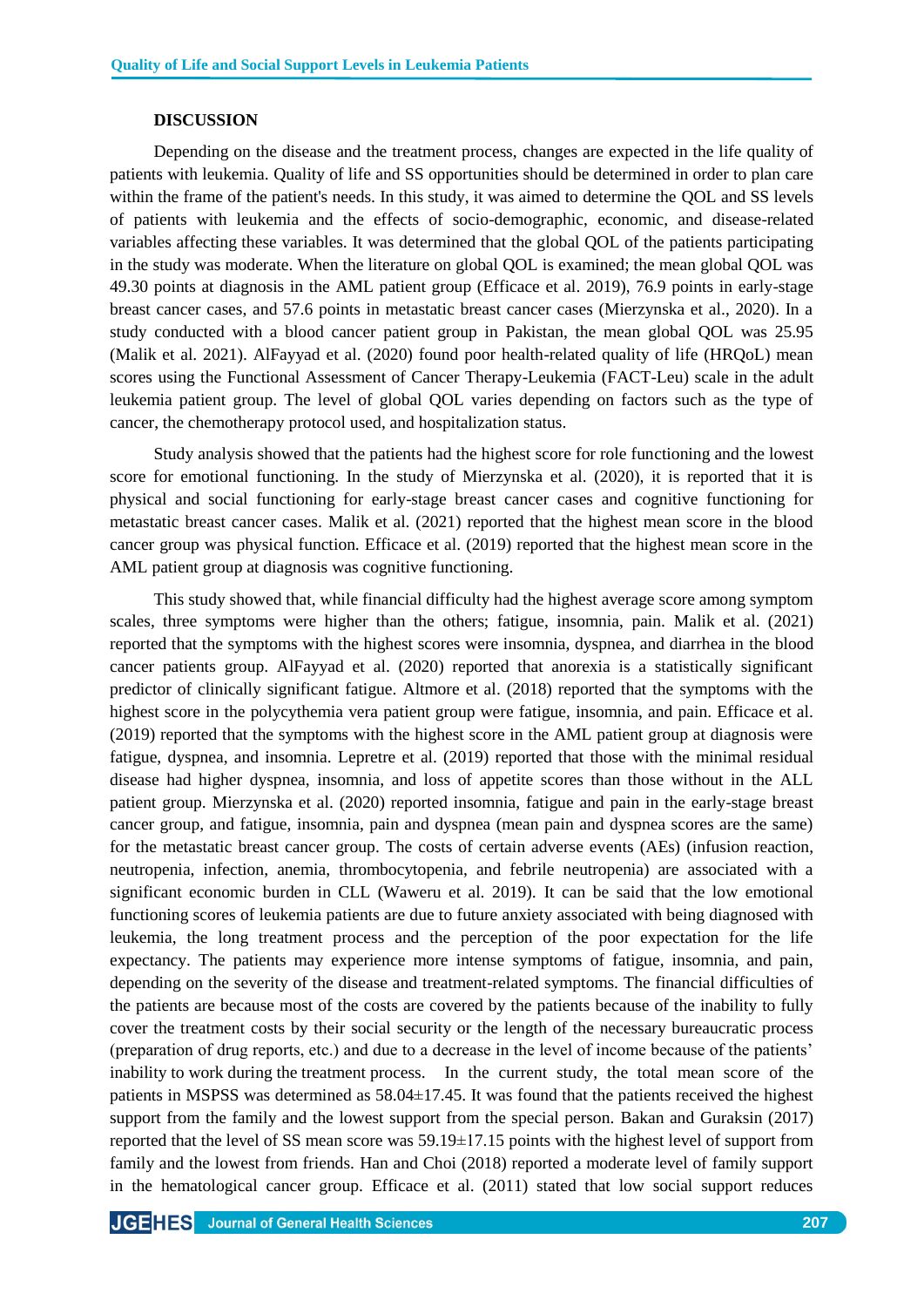## **DISCUSSION**

Depending on the disease and the treatment process, changes are expected in the life quality of patients with leukemia. Quality of life and SS opportunities should be determined in order to plan care within the frame of the patient's needs. In this study, it was aimed to determine the QOL and SS levels of patients with leukemia and the effects of socio-demographic, economic, and disease-related variables affecting these variables. It was determined that the global QOL of the patients participating in the study was moderate. When the literature on global QOL is examined; the mean global QOL was 49.30 points at diagnosis in the AML patient group (Efficace et al. 2019), 76.9 points in early-stage breast cancer cases, and 57.6 points in metastatic breast cancer cases (Mierzynska et al., 2020). In a study conducted with a blood cancer patient group in Pakistan, the mean global QOL was 25.95 (Malik et al. 2021). AlFayyad et al. (2020) found poor health-related quality of life (HRQoL) mean scores using the Functional Assessment of Cancer Therapy-Leukemia (FACT-Leu) scale in the adult leukemia patient group. The level of global QOL varies depending on factors such as the type of cancer, the chemotherapy protocol used, and hospitalization status.

Study analysis showed that the patients had the highest score for role functioning and the lowest score for emotional functioning. In the study of Mierzynska et al. (2020), it is reported that it is physical and social functioning for early-stage breast cancer cases and cognitive functioning for metastatic breast cancer cases. Malik et al. (2021) reported that the highest mean score in the blood cancer group was physical function. Efficace et al. (2019) reported that the highest mean score in the AML patient group at diagnosis was cognitive functioning.

This study showed that, while financial difficulty had the highest average score among symptom scales, three symptoms were higher than the others; fatigue, insomnia, pain. Malik et al. (2021) reported that the symptoms with the highest scores were insomnia, dyspnea, and diarrhea in the blood cancer patients group. AlFayyad et al. (2020) reported that anorexia is a statistically significant predictor of clinically significant fatigue. Altmore et al. (2018) reported that the symptoms with the highest score in the polycythemia vera patient group were fatigue, insomnia, and pain. Efficace et al. (2019) reported that the symptoms with the highest score in the AML patient group at diagnosis were fatigue, dyspnea, and insomnia. Lepretre et al. (2019) reported that those with the minimal residual disease had higher dyspnea, insomnia, and loss of appetite scores than those without in the ALL patient group. Mierzynska et al. (2020) reported insomnia, fatigue and pain in the early-stage breast cancer group, and fatigue, insomnia, pain and dyspnea (mean pain and dyspnea scores are the same) for the metastatic breast cancer group. The costs of certain adverse events (AEs) (infusion reaction, neutropenia, infection, anemia, thrombocytopenia, and febrile neutropenia) are associated with a significant economic burden in CLL (Waweru et al. 2019). It can be said that the low emotional functioning scores of leukemia patients are due to future anxiety associated with being diagnosed with leukemia, the long treatment process and the perception of the poor expectation for the life expectancy. The patients may experience more intense symptoms of fatigue, insomnia, and pain, depending on the severity of the disease and treatment-related symptoms. The financial difficulties of the patients are because most of the costs are covered by the patients because of the inability to fully cover the treatment costs by their social security or the length of the necessary bureaucratic process (preparation of drug reports, etc.) and due to a decrease in the level of income because of the patients' inability to work during the treatment process. In the current study, the total mean score of the patients in MSPSS was determined as 58.04±17.45. It was found that the patients received the highest support from the family and the lowest support from the special person. Bakan and Guraksin (2017) reported that the level of SS mean score was 59.19±17.15 points with the highest level of support from family and the lowest from friends. Han and Choi (2018) reported a moderate level of family support in the hematological cancer group. Efficace et al. (2011) stated that low social support reduces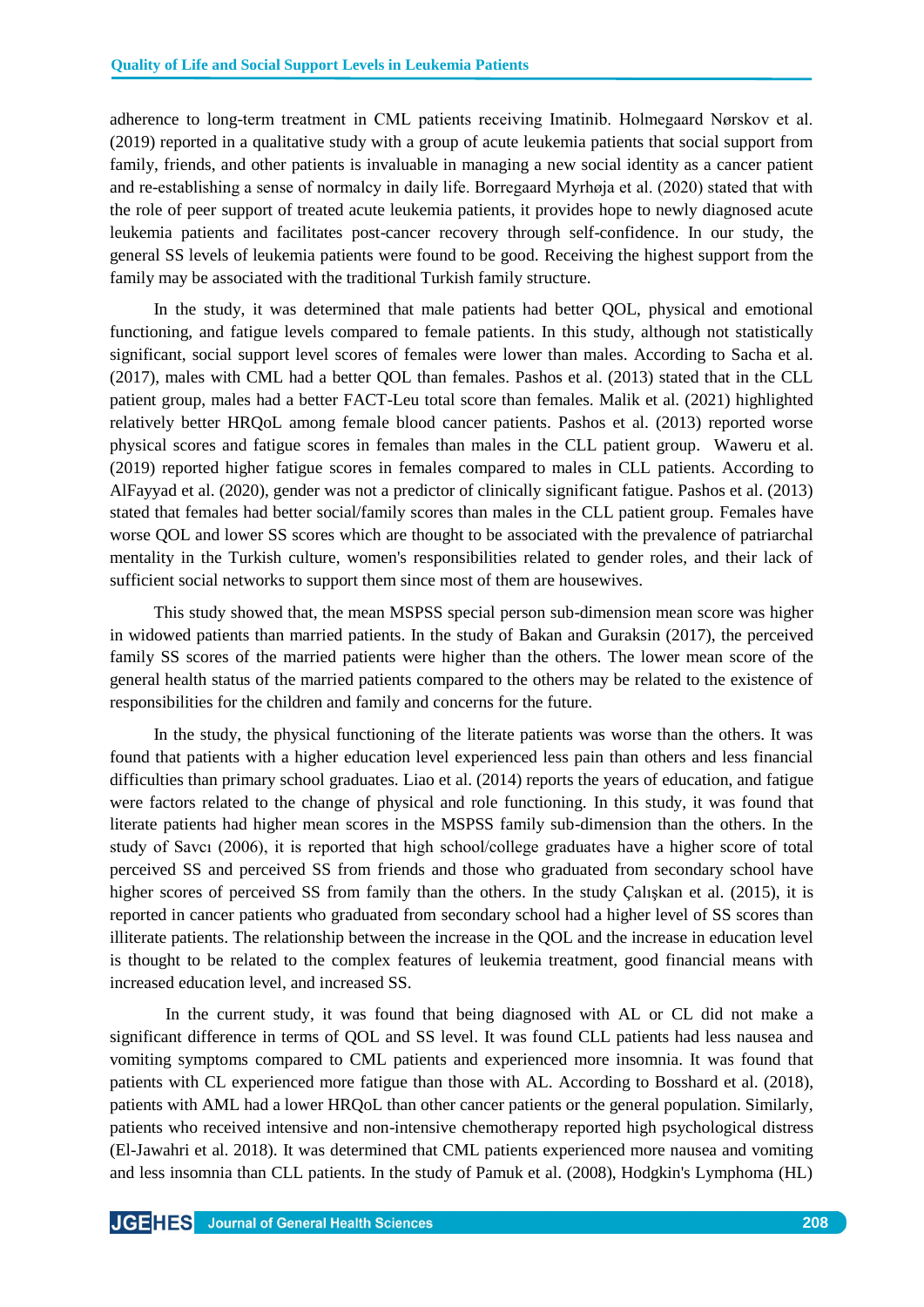adherence to long-term treatment in CML patients receiving Imatinib. Holmegaard Nørskov et al. (2019) reported in a qualitative study with a group of acute leukemia patients that social support from family, friends, and other patients is invaluable in managing a new social identity as a cancer patient and re-establishing a sense of normalcy in daily life. Borregaard Myrhøja et al. (2020) stated that with the role of peer support of treated acute leukemia patients, it provides hope to newly diagnosed acute leukemia patients and facilitates post-cancer recovery through self-confidence. In our study, the general SS levels of leukemia patients were found to be good. Receiving the highest support from the family may be associated with the traditional Turkish family structure.

In the study, it was determined that male patients had better QOL, physical and emotional functioning, and fatigue levels compared to female patients. In this study, although not statistically significant, social support level scores of females were lower than males. According to Sacha et al. (2017), males with CML had a better QOL than females. Pashos et al. (2013) stated that in the CLL patient group, males had a better FACT-Leu total score than females. Malik et al. (2021) highlighted relatively better HRQoL among female blood cancer patients. Pashos et al. (2013) reported worse physical scores and fatigue scores in females than males in the CLL patient group. Waweru et al. (2019) reported higher fatigue scores in females compared to males in CLL patients. According to AlFayyad et al. (2020), gender was not a predictor of clinically significant fatigue. Pashos et al. (2013) stated that females had better social/family scores than males in the CLL patient group. Females have worse QOL and lower SS scores which are thought to be associated with the prevalence of patriarchal mentality in the Turkish culture, women's responsibilities related to gender roles, and their lack of sufficient social networks to support them since most of them are housewives.

This study showed that, the mean MSPSS special person sub-dimension mean score was higher in widowed patients than married patients. In the study of Bakan and Guraksin (2017), the perceived family SS scores of the married patients were higher than the others. The lower mean score of the general health status of the married patients compared to the others may be related to the existence of responsibilities for the children and family and concerns for the future.

In the study, the physical functioning of the literate patients was worse than the others. It was found that patients with a higher education level experienced less pain than others and less financial difficulties than primary school graduates. Liao et al. (2014) reports the years of education, and fatigue were factors related to the change of physical and role functioning. In this study, it was found that literate patients had higher mean scores in the MSPSS family sub-dimension than the others. In the study of Savcı (2006), it is reported that high school/college graduates have a higher score of total perceived SS and perceived SS from friends and those who graduated from secondary school have higher scores of perceived SS from family than the others. In the study Caliskan et al. (2015), it is reported in cancer patients who graduated from secondary school had a higher level of SS scores than illiterate patients. The relationship between the increase in the QOL and the increase in education level is thought to be related to the complex features of leukemia treatment, good financial means with increased education level, and increased SS.

In the current study, it was found that being diagnosed with AL or CL did not make a significant difference in terms of QOL and SS level. It was found CLL patients had less nausea and vomiting symptoms compared to CML patients and experienced more insomnia. It was found that patients with CL experienced more fatigue than those with AL. According to Bosshard et al. (2018), patients with AML had a lower HRQoL than other cancer patients or the general population. Similarly, patients who received intensive and non-intensive chemotherapy reported high psychological distress (El-Jawahri et al. 2018). It was determined that CML patients experienced more nausea and vomiting and less insomnia than CLL patients. In the study of Pamuk et al. (2008), Hodgkin's Lymphoma (HL)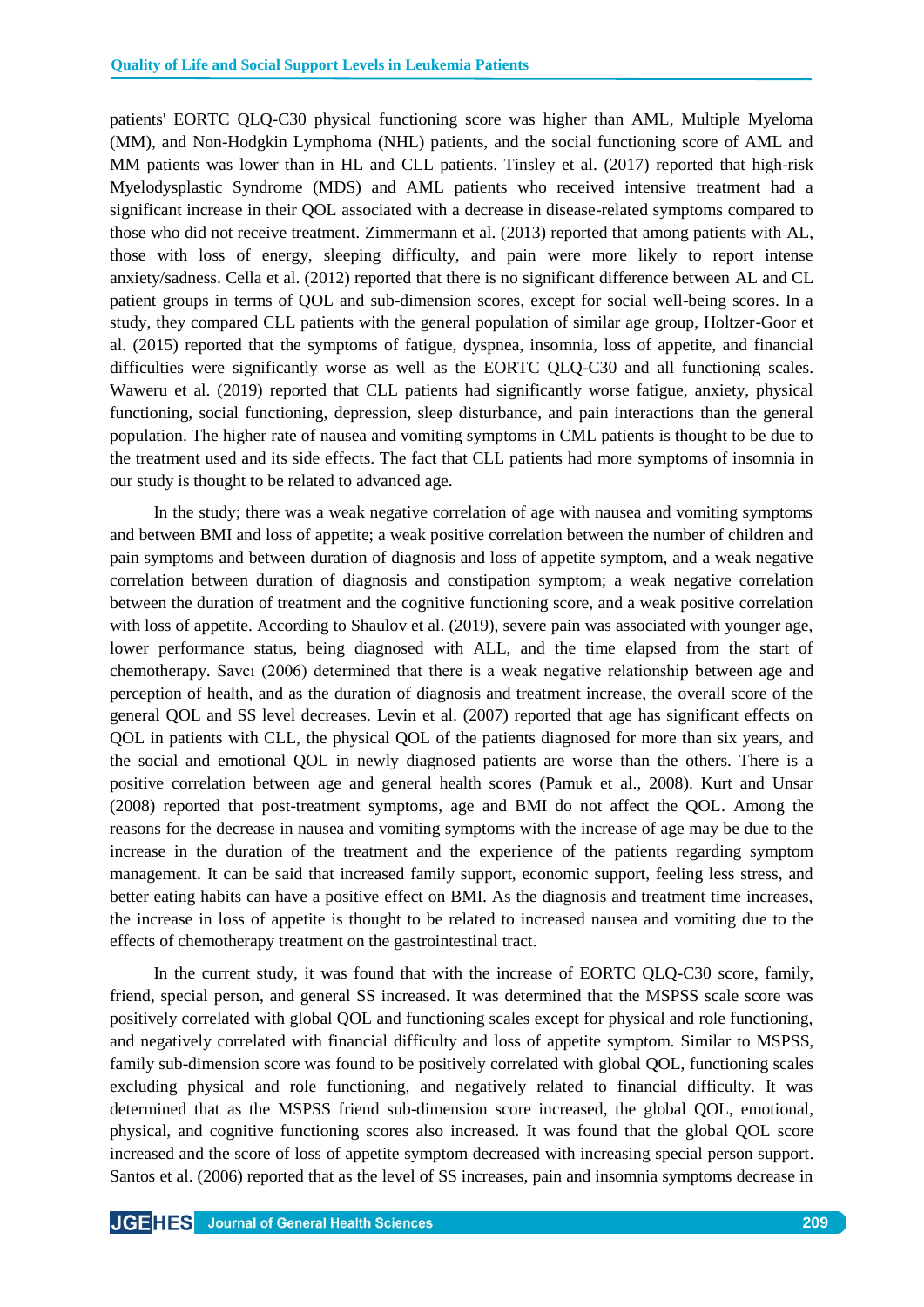patients' EORTC QLQ-C30 physical functioning score was higher than AML, Multiple Myeloma (MM), and Non-Hodgkin Lymphoma (NHL) patients, and the social functioning score of AML and MM patients was lower than in HL and CLL patients. Tinsley et al. (2017) reported that high-risk Myelodysplastic Syndrome (MDS) and AML patients who received intensive treatment had a significant increase in their QOL associated with a decrease in disease-related symptoms compared to those who did not receive treatment. Zimmermann et al. (2013) reported that among patients with AL, those with loss of energy, sleeping difficulty, and pain were more likely to report intense anxiety/sadness. Cella et al. (2012) reported that there is no significant difference between AL and CL patient groups in terms of QOL and sub-dimension scores, except for social well-being scores. In a study, they compared CLL patients with the general population of similar age group, Holtzer-Goor et al. (2015) reported that the symptoms of fatigue, dyspnea, insomnia, loss of appetite, and financial difficulties were significantly worse as well as the EORTC QLQ-C30 and all functioning scales. Waweru et al. (2019) reported that CLL patients had significantly worse fatigue, anxiety, physical functioning, social functioning, depression, sleep disturbance, and pain interactions than the general population. The higher rate of nausea and vomiting symptoms in CML patients is thought to be due to the treatment used and its side effects. The fact that CLL patients had more symptoms of insomnia in our study is thought to be related to advanced age.

In the study; there was a weak negative correlation of age with nausea and vomiting symptoms and between BMI and loss of appetite; a weak positive correlation between the number of children and pain symptoms and between duration of diagnosis and loss of appetite symptom, and a weak negative correlation between duration of diagnosis and constipation symptom; a weak negative correlation between the duration of treatment and the cognitive functioning score, and a weak positive correlation with loss of appetite. According to Shaulov et al. (2019), severe pain was associated with younger age, lower performance status, being diagnosed with ALL, and the time elapsed from the start of chemotherapy. Savcı (2006) determined that there is a weak negative relationship between age and perception of health, and as the duration of diagnosis and treatment increase, the overall score of the general QOL and SS level decreases. Levin et al. (2007) reported that age has significant effects on QOL in patients with CLL, the physical QOL of the patients diagnosed for more than six years, and the social and emotional QOL in newly diagnosed patients are worse than the others. There is a positive correlation between age and general health scores (Pamuk et al., 2008). Kurt and Unsar (2008) reported that post-treatment symptoms, age and BMI do not affect the QOL. Among the reasons for the decrease in nausea and vomiting symptoms with the increase of age may be due to the increase in the duration of the treatment and the experience of the patients regarding symptom management. It can be said that increased family support, economic support, feeling less stress, and better eating habits can have a positive effect on BMI. As the diagnosis and treatment time increases, the increase in loss of appetite is thought to be related to increased nausea and vomiting due to the effects of chemotherapy treatment on the gastrointestinal tract.

In the current study, it was found that with the increase of EORTC QLQ-C30 score, family, friend, special person, and general SS increased. It was determined that the MSPSS scale score was positively correlated with global QOL and functioning scales except for physical and role functioning, and negatively correlated with financial difficulty and loss of appetite symptom. Similar to MSPSS, family sub-dimension score was found to be positively correlated with global QOL, functioning scales excluding physical and role functioning, and negatively related to financial difficulty. It was determined that as the MSPSS friend sub-dimension score increased, the global QOL, emotional, physical, and cognitive functioning scores also increased. It was found that the global QOL score increased and the score of loss of appetite symptom decreased with increasing special person support. Santos et al. (2006) reported that as the level of SS increases, pain and insomnia symptoms decrease in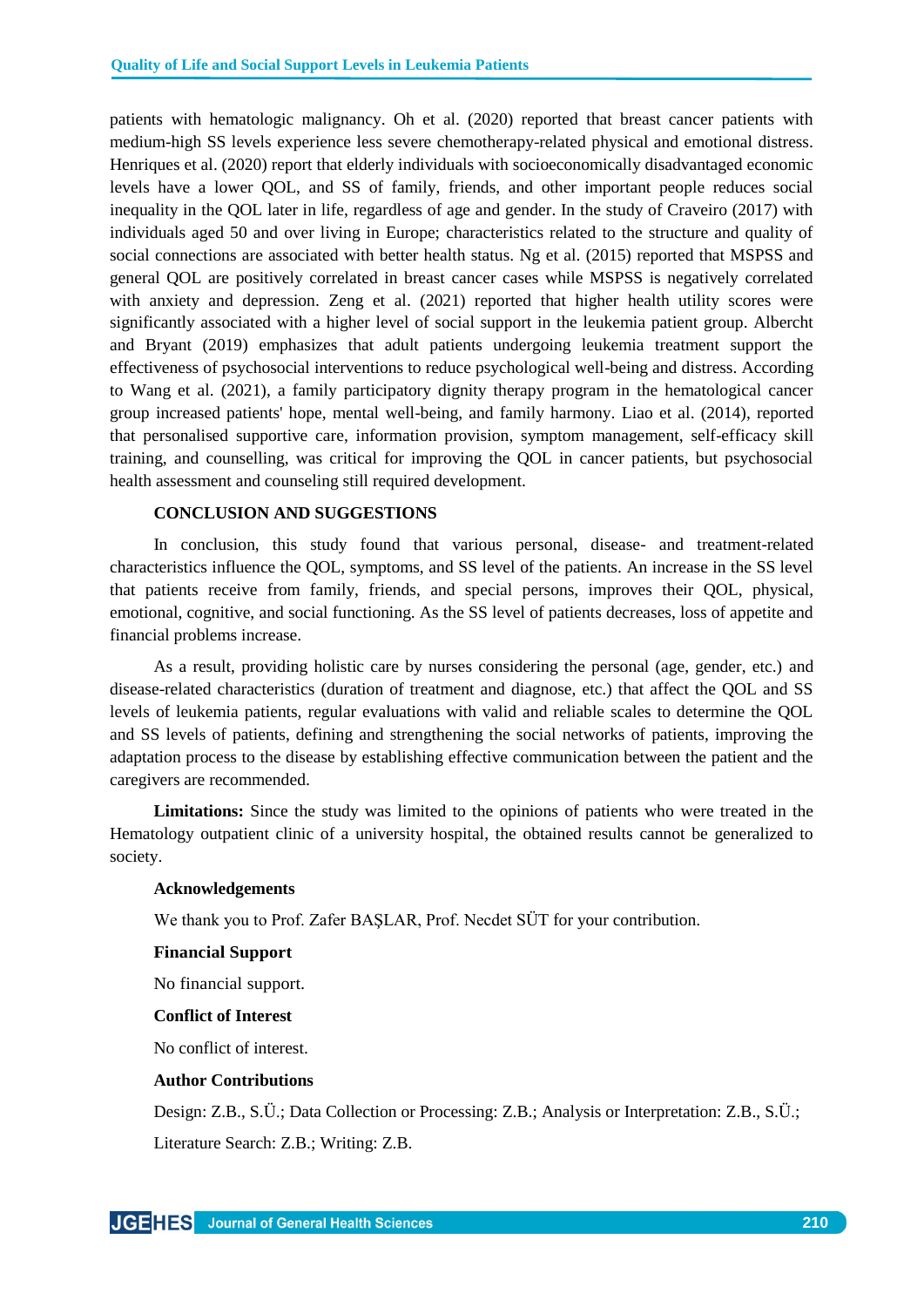patients with hematologic malignancy. Oh et al. (2020) reported that breast cancer patients with medium-high SS levels experience less severe chemotherapy-related physical and emotional distress. Henriques et al. (2020) report that elderly individuals with socioeconomically disadvantaged economic levels have a lower QOL, and SS of family, friends, and other important people reduces social inequality in the QOL later in life, regardless of age and gender. In the study of Craveiro (2017) with individuals aged 50 and over living in Europe; characteristics related to the structure and quality of social connections are associated with better health status. Ng et al. (2015) reported that MSPSS and general QOL are positively correlated in breast cancer cases while MSPSS is negatively correlated with anxiety and depression. Zeng et al. (2021) reported that higher health utility scores were significantly associated with a higher level of social support in the leukemia patient group. Albercht and Bryant (2019) emphasizes that adult patients undergoing leukemia treatment support the effectiveness of psychosocial interventions to reduce psychological well-being and distress. According to Wang et al. (2021), a family participatory dignity therapy program in the hematological cancer group increased patients' hope, mental well-being, and family harmony. Liao et al. (2014), reported that personalised supportive care, information provision, symptom management, self-efficacy skill training, and counselling, was critical for improving the QOL in cancer patients, but psychosocial health assessment and counseling still required development.

## **CONCLUSION AND SUGGESTIONS**

In conclusion, this study found that various personal, disease- and treatment-related characteristics influence the QOL, symptoms, and SS level of the patients. An increase in the SS level that patients receive from family, friends, and special persons, improves their QOL, physical, emotional, cognitive, and social functioning. As the SS level of patients decreases, loss of appetite and financial problems increase.

As a result, providing holistic care by nurses considering the personal (age, gender, etc.) and disease-related characteristics (duration of treatment and diagnose, etc.) that affect the QOL and SS levels of leukemia patients, regular evaluations with valid and reliable scales to determine the QOL and SS levels of patients, defining and strengthening the social networks of patients, improving the adaptation process to the disease by establishing effective communication between the patient and the caregivers are recommended.

**Limitations:** Since the study was limited to the opinions of patients who were treated in the Hematology outpatient clinic of a university hospital, the obtained results cannot be generalized to society.

## **Acknowledgements**

We thank you to Prof. Zafer BAŞLAR, Prof. Necdet SÜT for your contribution.

#### **Financial Support**

No financial support.

#### **Conflict of Interest**

No conflict of interest.

## **Author Contributions**

Design: Z.B., S.Ü.; Data Collection or Processing: Z.B.; Analysis or Interpretation: Z.B., S.Ü.; Literature Search: Z.B.; Writing: Z.B.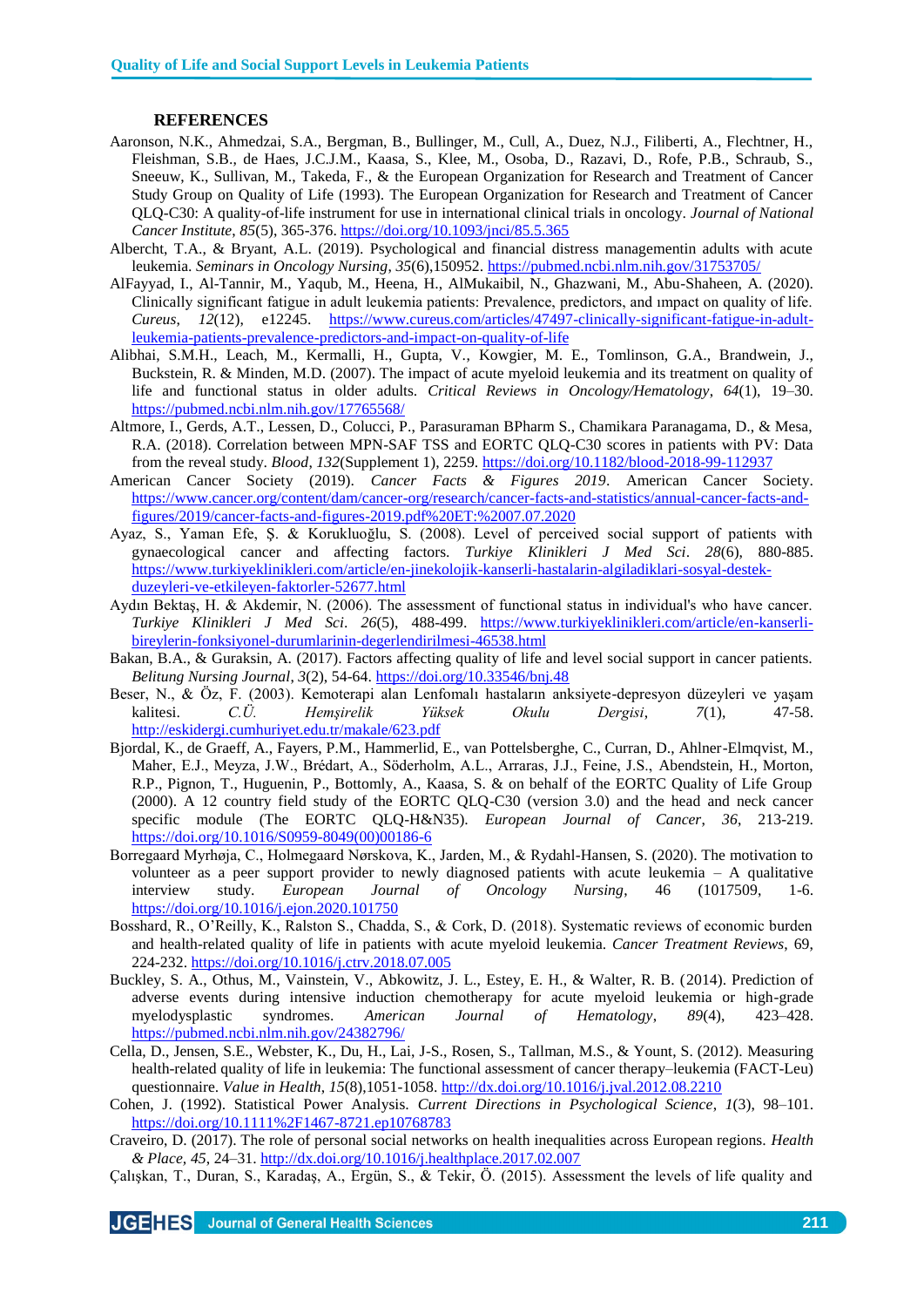#### **REFERENCES**

- Aaronson, N.K., Ahmedzai, S.A., Bergman, B., Bullinger, M., Cull, A., Duez, N.J., Filiberti, A., Flechtner, H., Fleishman, S.B., de Haes, J.C.J.M., Kaasa, S., Klee, M., Osoba, D., Razavi, D., Rofe, P.B., Schraub, S., Sneeuw, K., Sullivan, M., Takeda, F., & the European Organization for Research and Treatment of Cancer Study Group on Quality of Life (1993). The European Organization for Research and Treatment of Cancer QLQ-C30: A quality-of-life instrument for use in international clinical trials in oncology. *Journal of National Cancer Institute*, *85*(5), 365-376. <https://doi.org/10.1093/jnci/85.5.365>
- Albercht, T.A., & Bryant, A.L. (2019). Psychological and financial distress managementin adults with acute leukemia. *Seminars in Oncology Nursing*, *35*(6),150952.<https://pubmed.ncbi.nlm.nih.gov/31753705/>
- AlFayyad, I., Al-Tannir, M., Yaqub, M., Heena, H., AlMukaibil, N., Ghazwani, M., Abu-Shaheen, A. (2020). Clinically significant fatigue in adult leukemia patients: Prevalence, predictors, and ımpact on quality of life. *Cureus*, *12*(12), e12245. [https://www.cureus.com/articles/47497-clinically-significant-fatigue-in-adult](https://www.cureus.com/articles/47497-clinically-significant-fatigue-in-adult-leukemia-patients-prevalence-predictors-and-impact-on-quality-of-life)[leukemia-patients-prevalence-predictors-and-impact-on-quality-of-life](https://www.cureus.com/articles/47497-clinically-significant-fatigue-in-adult-leukemia-patients-prevalence-predictors-and-impact-on-quality-of-life)
- Alibhai, S.M.H., Leach, M., Kermalli, H., Gupta, V., Kowgier, M. E., Tomlinson, G.A., Brandwein, J., Buckstein, R. & Minden, M.D. (2007). The impact of acute myeloid leukemia and its treatment on quality of life and functional status in older adults. *Critical Reviews in Oncology/Hematology*, *64*(1), 19–30. <https://pubmed.ncbi.nlm.nih.gov/17765568/>
- Altmore, I., Gerds, A.T., Lessen, D., Colucci, P., Parasuraman BPharm S., Chamikara Paranagama, D., & Mesa, R.A. (2018). Correlation between MPN-SAF TSS and EORTC QLQ-C30 scores in patients with PV: Data from the reveal study. *Blood*, *132*(Supplement 1), 2259.<https://doi.org/10.1182/blood-2018-99-112937>
- American Cancer Society (2019). *Cancer Facts & Figures 2019*. American Cancer Society. [https://www.cancer.org/content/dam/cancer-org/research/cancer-facts-and-statistics/annual-cancer-facts-and](https://www.cancer.org/content/dam/cancer-org/research/cancer-facts-and-statistics/annual-cancer-facts-and-figures/2019/cancer-facts-and-figures-2019.pdf%20ET:%2007.07.2020)[figures/2019/cancer-facts-and-figures-2019.pdf%20ET:%2007.07.2020](https://www.cancer.org/content/dam/cancer-org/research/cancer-facts-and-statistics/annual-cancer-facts-and-figures/2019/cancer-facts-and-figures-2019.pdf%20ET:%2007.07.2020)
- Ayaz, S., Yaman Efe, Ş. & Korukluoğlu, S. (2008). Level of perceived social support of patients with gynaecological cancer and affecting factors. *Turkiye Klinikleri J Med Sci*. *28*(6), 880-885. [https://www.turkiyeklinikleri.com/article/en-jinekolojik-kanserli-hastalarin-algiladiklari-sosyal-destek](https://www.turkiyeklinikleri.com/article/en-jinekolojik-kanserli-hastalarin-algiladiklari-sosyal-destek-duzeyleri-ve-etkileyen-faktorler-52677.html)[duzeyleri-ve-etkileyen-faktorler-52677.html](https://www.turkiyeklinikleri.com/article/en-jinekolojik-kanserli-hastalarin-algiladiklari-sosyal-destek-duzeyleri-ve-etkileyen-faktorler-52677.html)
- Aydın Bektaş, H. & Akdemir, N. (2006). The assessment of functional status in individual's who have cancer. *Turkiye Klinikleri J Med Sci*. *26*(5), 488-499. [https://www.turkiyeklinikleri.com/article/en-kanserli](https://www.turkiyeklinikleri.com/article/en-kanserli-bireylerin-fonksiyonel-durumlarinin-degerlendirilmesi-46538.html)[bireylerin-fonksiyonel-durumlarinin-degerlendirilmesi-46538.html](https://www.turkiyeklinikleri.com/article/en-kanserli-bireylerin-fonksiyonel-durumlarinin-degerlendirilmesi-46538.html)
- Bakan, B.A., & Guraksin, A. (2017). Factors affecting quality of life and level social support in cancer patients. *Belitung Nursing Journal*, *3*(2), 54-64.<https://doi.org/10.33546/bnj.48>
- Beser, N., & Öz, F. (2003). Kemoterapi alan Lenfomalı hastaların anksiyete-depresyon düzeyleri ve yaşam kalitesi. *C.Ü. Hemşirelik Yüksek Okulu Dergisi*, *7*(1), 47-58. <http://eskidergi.cumhuriyet.edu.tr/makale/623.pdf>
- Bjordal, K., de Graeff, A., Fayers, P.M., Hammerlid, E., van Pottelsberghe, C., Curran, D., Ahlner-Elmqvist, M., Maher, E.J., Meyza, J.W., Brédart, A., Söderholm, A.L., Arraras, J.J., Feine, J.S., Abendstein, H., Morton, R.P., Pignon, T., Huguenin, P., Bottomly, A., Kaasa, S. & on behalf of the EORTC Quality of Life Group (2000). A 12 country field study of the EORTC QLQ-C30 (version 3.0) and the head and neck cancer specific module (The EORTC QLQ-H&N35). *European Journal of Cancer*, *36*, 213-219. [https://doi.org/10.1016/S0959-8049\(00\)00186-6](https://doi.org/10.1016/S0959-8049(00)00186-6)
- Borregaard Myrhøja, C., Holmegaard Nørskova, K., Jarden, M., & Rydahl-Hansen, S. (2020). The motivation to volunteer as a peer support provider to newly diagnosed patients with acute leukemia – A qualitative interview study. *European Journal of Oncology Nursing*, 46 (1017509, 1-6. <https://doi.org/10.1016/j.ejon.2020.101750>
- Bosshard, R., O'Reilly, K., Ralston S., Chadda, S., & Cork, D. (2018). Systematic reviews of economic burden and health-related quality of life in patients with acute myeloid leukemia. *Cancer Treatment Reviews*, 69, 224-232.<https://doi.org/10.1016/j.ctrv.2018.07.005>
- Buckley, S. A., Othus, M., Vainstein, V., Abkowitz, J. L., Estey, E. H., & Walter, R. B. (2014). Prediction of adverse events during intensive induction chemotherapy for acute myeloid leukemia or high-grade myelodysplastic syndromes. *American Journal of Hematology*, *89*(4), 423–428. <https://pubmed.ncbi.nlm.nih.gov/24382796/>
- Cella, D., Jensen, S.E., Webster, K., Du, H., Lai, J-S., Rosen, S., Tallman, M.S., & Yount, S. (2012). Measuring health-related quality of life in leukemia: The functional assessment of cancer therapy–leukemia (FACT-Leu) questionnaire. *Value in Health*, *15*(8),1051-1058[. http://dx.doi.org/10.1016/j.jval.2012.08.2210](http://dx.doi.org/10.1016/j.jval.2012.08.2210)
- Cohen, J. (1992). Statistical Power Analysis. *Current Directions in Psychological Science*, *1*(3), 98–101. <https://doi.org/10.1111%2F1467-8721.ep10768783>
- Craveiro, D. (2017). The role of personal social networks on health inequalities across European regions. *Health & Place, 45*, 24–31.<http://dx.doi.org/10.1016/j.healthplace.2017.02.007>
- Çalışkan, T., Duran, S., Karadaş, A., Ergün, S., & Tekir, Ö. (2015). Assessment the levels of life quality and

JGEHES Journal of General Health Sciences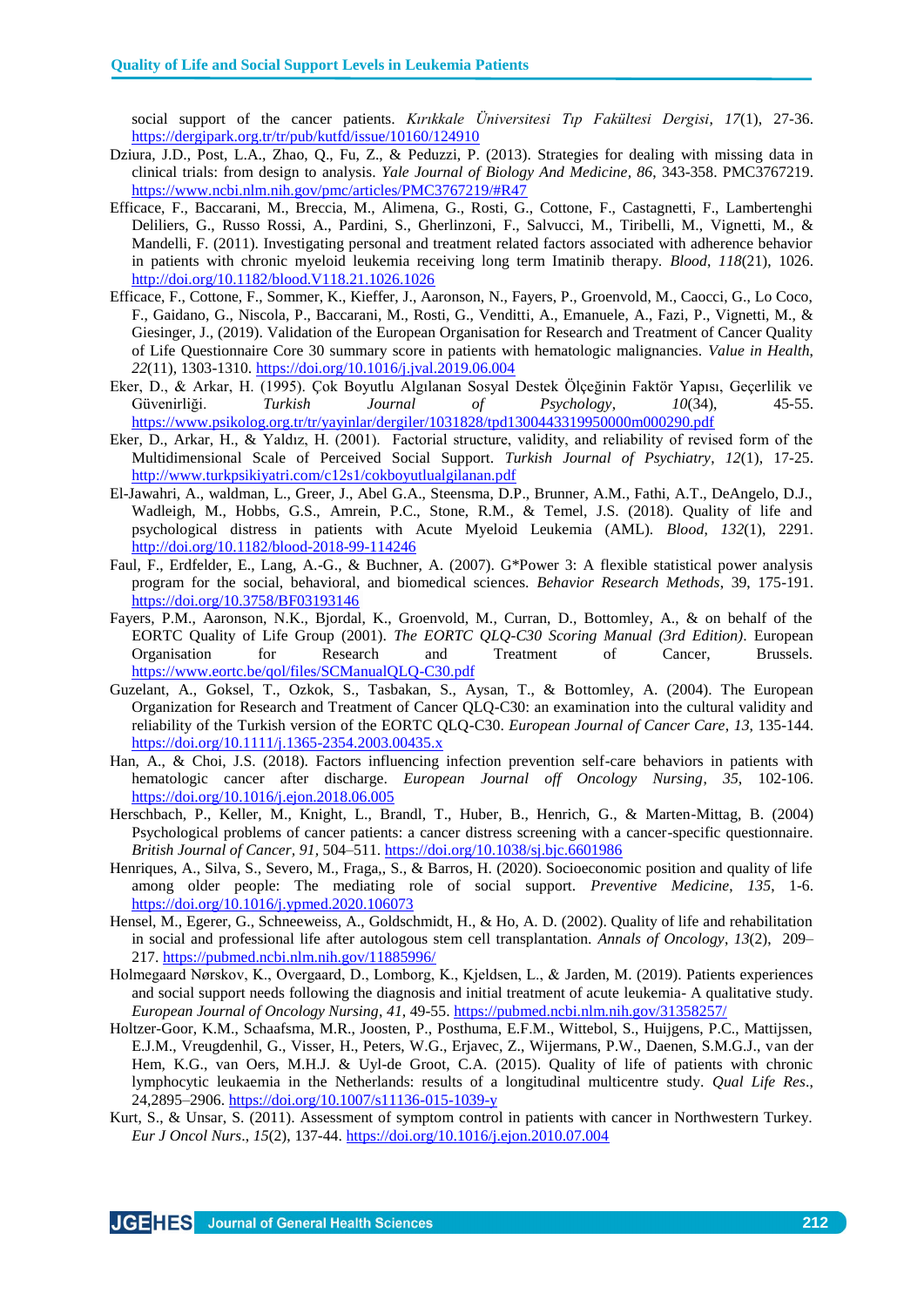social support of the cancer patients. *Kırıkkale Üniversitesi Tıp Fakültesi Dergisi*, *17*(1), 27-36. <https://dergipark.org.tr/tr/pub/kutfd/issue/10160/124910>

- Dziura, J.D., Post, L.A., Zhao, Q., Fu, Z., & Peduzzi, P. (2013). Strategies for dealing with missing data in clinical trials: from design to analysis. *Yale Journal of Biology And Medicine, 86*, 343-358. PMC3767219. <https://www.ncbi.nlm.nih.gov/pmc/articles/PMC3767219/#R47>
- Efficace, F., Baccarani, M., Breccia, M., Alimena, G., Rosti, G., Cottone, F., Castagnetti, F., Lambertenghi Deliliers, G., Russo Rossi, A., Pardini, S., Gherlinzoni, F., Salvucci, M., Tiribelli, M., Vignetti, M., & Mandelli, F. (2011). Investigating personal and treatment related factors associated with adherence behavior in patients with chronic myeloid leukemia receiving long term Imatinib therapy. *Blood*, *118*(21), 1026. <http://doi.org/10.1182/blood.V118.21.1026.1026>
- Efficace, F., Cottone, F., Sommer, K., Kieffer, J., Aaronson, N., Fayers, P., Groenvold, M., Caocci, G., Lo Coco, F., Gaidano, G., Niscola, P., Baccarani, M., Rosti, G., Venditti, A., Emanuele, A., Fazi, P., Vignetti, M., & Giesinger, J., (2019). Validation of the European Organisation for Research and Treatment of Cancer Quality of Life Questionnaire Core 30 summary score in patients with hematologic malignancies. *Value in Health*, *22*(11), 1303-1310.<https://doi.org/10.1016/j.jval.2019.06.004>
- Eker, D., & Arkar, H. (1995). Çok Boyutlu Algılanan Sosyal Destek Ölçeğinin Faktör Yapısı, Geçerlilik ve Güvenirliği. *Turkish Journal of Psychology*, *10*(34), 45-55. <https://www.psikolog.org.tr/tr/yayinlar/dergiler/1031828/tpd1300443319950000m000290.pdf>
- Eker, D., Arkar, H., & Yaldız, H. (2001). Factorial structure, validity, and reliability of revised form of the Multidimensional Scale of Perceived Social Support. *Turkish Journal of Psychiatry*, *12*(1), 17-25. <http://www.turkpsikiyatri.com/c12s1/cokboyutlualgilanan.pdf>
- El-Jawahri, A., waldman, L., Greer, J., Abel G.A., Steensma, D.P., Brunner, A.M., Fathi, A.T., DeAngelo, D.J., Wadleigh, M., Hobbs, G.S., Amrein, P.C., Stone, R.M., & Temel, J.S. (2018). Quality of life and psychological distress in patients with Acute Myeloid Leukemia (AML). *Blood*, *132*(1), 2291. <http://doi.org/10.1182/blood-2018-99-114246>
- Faul, F., Erdfelder, E., Lang, A.-G., & Buchner, A. (2007). G\*Power 3: A flexible statistical power analysis program for the social, behavioral, and biomedical sciences. *Behavior Research Methods*, 39, 175-191. <https://doi.org/10.3758/BF03193146>
- Fayers, P.M., Aaronson, N.K., Bjordal, K., Groenvold, M., Curran, D., Bottomley, A., & on behalf of the EORTC Quality of Life Group (2001). *The EORTC QLQ-C30 Scoring Manual (3rd Edition)*. European Organisation for Research and Treatment of Cancer, Brussels. <https://www.eortc.be/qol/files/SCManualQLQ-C30.pdf>
- Guzelant, A., Goksel, T., Ozkok, S., Tasbakan, S., Aysan, T., & Bottomley, A. (2004). The European Organization for Research and Treatment of Cancer QLQ-C30: an examination into the cultural validity and reliability of the Turkish version of the EORTC QLQ-C30. *European Journal of Cancer Care*, *13*, 135-144. <https://doi.org/10.1111/j.1365-2354.2003.00435.x>
- Han, A., & Choi, J.S. (2018). Factors influencing infection prevention self-care behaviors in patients with hematologic cancer after discharge. *European Journal off Oncology Nursing*, *35*, 102-106. <https://doi.org/10.1016/j.ejon.2018.06.005>
- Herschbach, P., Keller, M., Knight, L., Brandl, T., Huber, B., Henrich, G., & Marten-Mittag, B. (2004) Psychological problems of cancer patients: a cancer distress screening with a cancer-specific questionnaire. *British Journal of Cancer, 91,* 504–511.<https://doi.org/10.1038/sj.bjc.6601986>
- Henriques, A., Silva, S., Severo, M., Fraga,, S., & Barros, H. (2020). Socioeconomic position and quality of life among older people: The mediating role of social support. *Preventive Medicine*, *135*, 1-6. <https://doi.org/10.1016/j.ypmed.2020.106073>
- Hensel, M., Egerer, G., Schneeweiss, A., Goldschmidt, H., & Ho, A. D. (2002). Quality of life and rehabilitation in social and professional life after autologous stem cell transplantation. *Annals of Oncology*, *13*(2), 209– 217.<https://pubmed.ncbi.nlm.nih.gov/11885996/>
- Holmegaard Nørskov, K., Overgaard, D., Lomborg, K., Kjeldsen, L., & Jarden, M. (2019). Patients experiences and social support needs following the diagnosis and initial treatment of acute leukemia- A qualitative study. *European Journal of Oncology Nursing*, *41*, 49-55.<https://pubmed.ncbi.nlm.nih.gov/31358257/>
- Holtzer-Goor, K.M., Schaafsma, M.R., Joosten, P., Posthuma, E.F.M., Wittebol, S., Huijgens, P.C., Mattijssen, E.J.M., Vreugdenhil, G., Visser, H., Peters, W.G., Erjavec, Z., Wijermans, P.W., Daenen, S.M.G.J., van der Hem, K.G., van Oers, M.H.J. & Uyl-de Groot, C.A. (2015). Quality of life of patients with chronic lymphocytic leukaemia in the Netherlands: results of a longitudinal multicentre study. *Qual Life Res*., 24,2895–2906[. https://doi.org/10.1007/s11136-015-1039-y](https://doi.org/10.1007/s11136-015-1039-y)
- Kurt, S., & Unsar, S. (2011). Assessment of symptom control in patients with cancer in Northwestern Turkey. *Eur J Oncol Nurs*., *15*(2), 137-44.<https://doi.org/10.1016/j.ejon.2010.07.004>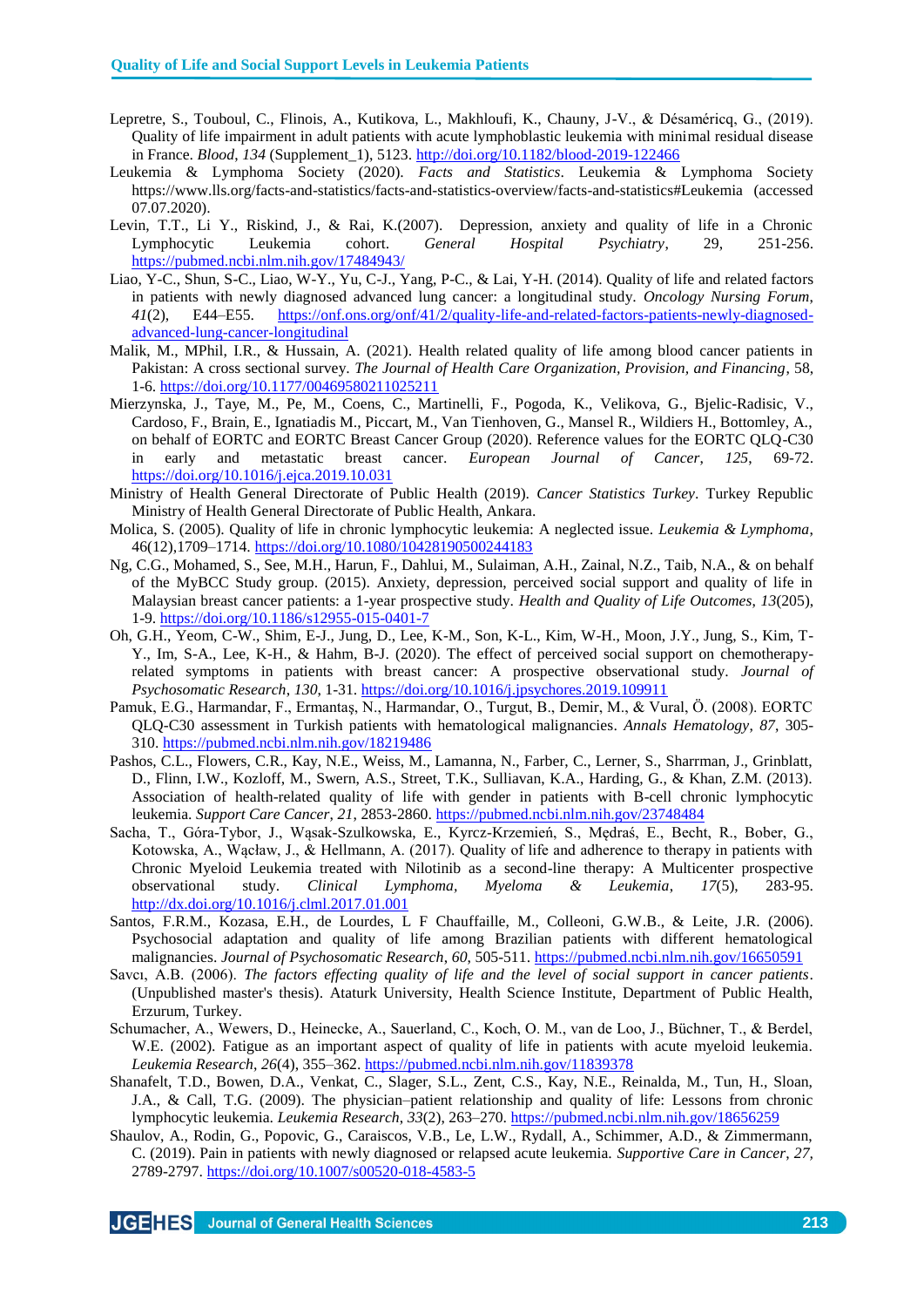- Lepretre, S., Touboul, C., Flinois, A., Kutikova, L., Makhloufi, K., Chauny, J-V., & Désaméricq, G., (2019). Quality of life impairment in adult patients with acute lymphoblastic leukemia with minimal residual disease in France. *Blood*, *134* (Supplement\_1), 5123.<http://doi.org/10.1182/blood-2019-122466>
- Leukemia & Lymphoma Society (2020). *Facts and Statistics*. Leukemia & Lymphoma Society https://www.lls.org/facts-and-statistics/facts-and-statistics-overview/facts-and-statistics#Leukemia (accessed 07.07.2020).
- Levin, T.T., Li Y., Riskind, J., & Rai, K.(2007). Depression, anxiety and quality of life in a Chronic Lymphocytic Leukemia cohort. *General Hospital Psychiatry*, 29, 251-256. <https://pubmed.ncbi.nlm.nih.gov/17484943/>
- Liao, Y-C., Shun, S-C., Liao, W-Y., Yu, C-J., Yang, P-C., & Lai, Y-H. (2014). Quality of life and related factors in patients with newly diagnosed advanced lung cancer: a longitudinal study. *Oncology Nursing Forum*, *41*(2), E44–E55. [https://onf.ons.org/onf/41/2/quality-life-and-related-factors-patients-newly-diagnosed](https://onf.ons.org/onf/41/2/quality-life-and-related-factors-patients-newly-diagnosed-advanced-lung-cancer-longitudinal)[advanced-lung-cancer-longitudinal](https://onf.ons.org/onf/41/2/quality-life-and-related-factors-patients-newly-diagnosed-advanced-lung-cancer-longitudinal)
- Malik, M., MPhil, I.R., & Hussain, A. (2021). Health related quality of life among blood cancer patients in Pakistan: A cross sectional survey. *The Journal of Health Care Organization, Provision, and Financing*, 58, 1-6.<https://doi.org/10.1177/00469580211025211>
- Mierzynska, J., Taye, M., Pe, M., Coens, C., Martinelli, F., Pogoda, K., Velikova, G., Bjelic-Radisic, V., Cardoso, F., Brain, E., Ignatiadis M., Piccart, M., Van Tienhoven, G., Mansel R., Wildiers H., Bottomley, A., on behalf of EORTC and EORTC Breast Cancer Group (2020). Reference values for the EORTC QLQ-C30 in early and metastatic breast cancer. *European Journal of Cancer*, *125*, 69-72. <https://doi.org/10.1016/j.ejca.2019.10.031>
- Ministry of Health General Directorate of Public Health (2019). *Cancer Statistics Turkey*. Turkey Republic Ministry of Health General Directorate of Public Health, Ankara.
- Molica, S. (2005). Quality of life in chronic lymphocytic leukemia: A neglected issue. *Leukemia & Lymphoma*, 46(12),1709–1714.<https://doi.org/10.1080/10428190500244183>
- Ng, C.G., Mohamed, S., See, M.H., Harun, F., Dahlui, M., Sulaiman, A.H., Zainal, N.Z., Taib, N.A., & on behalf of the MyBCC Study group. (2015). Anxiety, depression, perceived social support and quality of life in Malaysian breast cancer patients: a 1-year prospective study. *Health and Quality of Life Outcomes*, *13*(205), 1-9.<https://doi.org/10.1186/s12955-015-0401-7>
- Oh, G.H., Yeom, C-W., Shim, E-J., Jung, D., Lee, K-M., Son, K-L., Kim, W-H., Moon, J.Y., Jung, S., Kim, T-Y., Im, S-A., Lee, K-H., & Hahm, B-J. (2020). The effect of perceived social support on chemotherapyrelated symptoms in patients with breast cancer: A prospective observational study. *Journal of Psychosomatic Research*, *130*, 1-31.<https://doi.org/10.1016/j.jpsychores.2019.109911>
- Pamuk, E.G., Harmandar, F., Ermantaş, N., Harmandar, O., Turgut, B., Demir, M., & Vural, Ö. (2008). EORTC QLQ-C30 assessment in Turkish patients with hematological malignancies. *Annals Hematology*, *87*, 305- 310.<https://pubmed.ncbi.nlm.nih.gov/18219486>
- Pashos, C.L., Flowers, C.R., Kay, N.E., Weiss, M., Lamanna, N., Farber, C., Lerner, S., Sharrman, J., Grinblatt, D., Flinn, I.W., Kozloff, M., Swern, A.S., Street, T.K., Sulliavan, K.A., Harding, G., & Khan, Z.M. (2013). Association of health-related quality of life with gender in patients with B-cell chronic lymphocytic leukemia. *Support Care Cancer*, *21*, 2853-2860.<https://pubmed.ncbi.nlm.nih.gov/23748484>
- Sacha, T., Góra-Tybor, J., Wąsak-Szulkowska, E., Kyrcz-Krzemień, S., Mędraś, E., Becht, R., Bober, G., Kotowska, A., Wącław, J., & Hellmann, A. (2017). Quality of life and adherence to therapy in patients with Chronic Myeloid Leukemia treated with Nilotinib as a second-line therapy: A Multicenter prospective observational study. *Clinical Lymphoma, Myeloma & Leukemia*, *17*(5), 283-95. <http://dx.doi.org/10.1016/j.clml.2017.01.001>
- Santos, F.R.M., Kozasa, E.H., de Lourdes, L F Chauffaille, M., Colleoni, G.W.B., & Leite, J.R. (2006). Psychosocial adaptation and quality of life among Brazilian patients with different hematological malignancies. *Journal of Psychosomatic Research*, *60*, 505-511[. https://pubmed.ncbi.nlm.nih.gov/16650591](https://pubmed.ncbi.nlm.nih.gov/16650591)
- Savcı, A.B. (2006). *The factors effecting quality of life and the level of social support in cancer patients*. (Unpublished master's thesis). Ataturk University, Health Science Institute, Department of Public Health, Erzurum, Turkey.
- Schumacher, A., Wewers, D., Heinecke, A., Sauerland, C., Koch, O. M., van de Loo, J., Büchner, T., & Berdel, W.E. (2002). Fatigue as an important aspect of quality of life in patients with acute myeloid leukemia. *Leukemia Research*, *26*(4), 355–362.<https://pubmed.ncbi.nlm.nih.gov/11839378>
- Shanafelt, T.D., Bowen, D.A., Venkat, C., Slager, S.L., Zent, C.S., Kay, N.E., Reinalda, M., Tun, H., Sloan, J.A., & Call, T.G. (2009). The physician–patient relationship and quality of life: Lessons from chronic lymphocytic leukemia. *Leukemia Research*, *33*(2), 263–270.<https://pubmed.ncbi.nlm.nih.gov/18656259>
- Shaulov, A., Rodin, G., Popovic, G., Caraiscos, V.B., Le, L.W., Rydall, A., Schimmer, A.D., & Zimmermann, C. (2019). Pain in patients with newly diagnosed or relapsed acute leukemia. *Supportive Care in Cancer*, *27,* 2789-2797.<https://doi.org/10.1007/s00520-018-4583-5>

JGEHES Journal of General Health Sciences